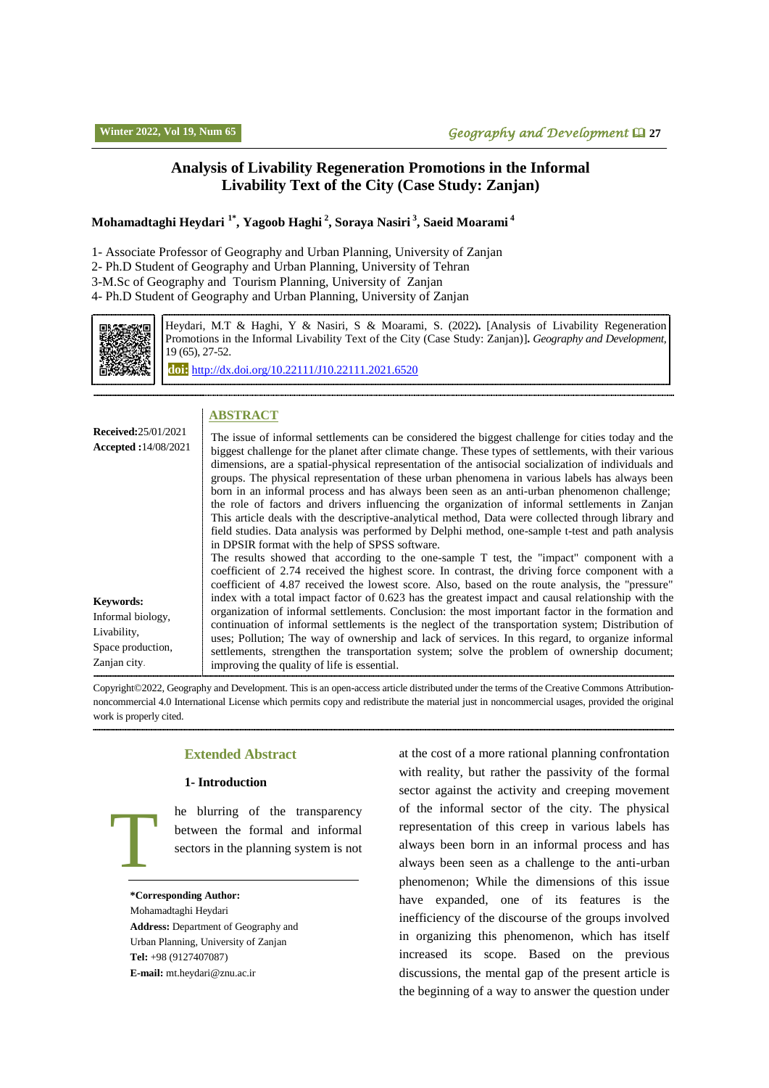## **Analysis of Livability Regeneration Promotions in the Informal Livability Text of the City (Case Study: Zanjan)**

## **Mohamadtaghi Heydari 1\*, Yagoob Haghi <sup>2</sup> , Soraya Nasiri <sup>3</sup> , Saeid Moarami <sup>4</sup>**

1- Associate Professor of Geography and Urban Planning, University of Zanjan

2- Ph.D Student of Geography and Urban Planning, University of Tehran

3-M.Sc of Geography and Tourism Planning, University of Zanjan

4- Ph.D Student of Geography and Urban Planning, University of Zanjan



Heydari, M.T & Haghi, Y & Nasiri, S & Moarami, S. (2022)**.** [Analysis of Livability Regeneration Promotions in the Informal Livability Text of the City (Case Study: Zanjan)]**.** *Geography and Development,*  19 (65), 27-52.

**doi:** http://dx.doi.or[g/10.22111/J10.22111.2021.6520](https://dx.doi.org/10.22111/j10.22111.2021.6520)

## **ABSTRACT**

| <b>Received:</b> 25/01/2021<br><b>Accepted:</b> 14/08/2021                                | The issue of informal settlements can be considered the biggest challenge for cities today and the<br>biggest challenge for the planet after climate change. These types of settlements, with their various<br>dimensions, are a spatial-physical representation of the antisocial socialization of individuals and<br>groups. The physical representation of these urban phenomena in various labels has always been<br>born in an informal process and has always been seen as an anti-urban phenomenon challenge;<br>the role of factors and drivers influencing the organization of informal settlements in Zanjan<br>This article deals with the descriptive-analytical method, Data were collected through library and<br>field studies. Data analysis was performed by Delphi method, one-sample t-test and path analysis                                                                                     |
|-------------------------------------------------------------------------------------------|----------------------------------------------------------------------------------------------------------------------------------------------------------------------------------------------------------------------------------------------------------------------------------------------------------------------------------------------------------------------------------------------------------------------------------------------------------------------------------------------------------------------------------------------------------------------------------------------------------------------------------------------------------------------------------------------------------------------------------------------------------------------------------------------------------------------------------------------------------------------------------------------------------------------|
| <b>Keywords:</b><br>Informal biology,<br>Livability,<br>Space production,<br>Zanjan city. | in DPSIR format with the help of SPSS software.<br>The results showed that according to the one-sample T test, the "impact" component with a<br>coefficient of 2.74 received the highest score. In contrast, the driving force component with a<br>coefficient of 4.87 received the lowest score. Also, based on the route analysis, the "pressure"<br>index with a total impact factor of 0.623 has the greatest impact and causal relationship with the<br>organization of informal settlements. Conclusion: the most important factor in the formation and<br>continuation of informal settlements is the neglect of the transportation system; Distribution of<br>uses; Pollution; The way of ownership and lack of services. In this regard, to organize informal<br>settlements, strengthen the transportation system; solve the problem of ownership document;<br>improving the quality of life is essential. |

Copyright©2022, Geography and Development. This is an open-access article distributed under the terms of the Creative Commons Attributionnoncommercial 4.0 International License which permits copy and redistribute the material just in noncommercial usages, provided the original work is properly cited.

## **Extended Abstract**

### **1- Introduction**

he blurring of the transparency between the formal and informal sectors in the planning system is not

**\*Corresponding Author:**

T

Mohamadtaghi Heydari **Address:** Department of Geography and Urban Planning, University of Zanjan **Tel:** +98 (9127407087) **E-mail:** mt.heydari@znu.ac.ir

at the cost of a more rational planning confrontation with reality, but rather the passivity of the formal sector against the activity and creeping movement of the informal sector of the city. The physical representation of this creep in various labels has always been born in an informal process and has always been seen as a challenge to the anti-urban phenomenon; While the dimensions of this issue have expanded, one of its features is the inefficiency of the discourse of the groups involved in organizing this phenomenon, which has itself increased its scope. Based on the previous discussions, the mental gap of the present article is the beginning of a way to answer the question under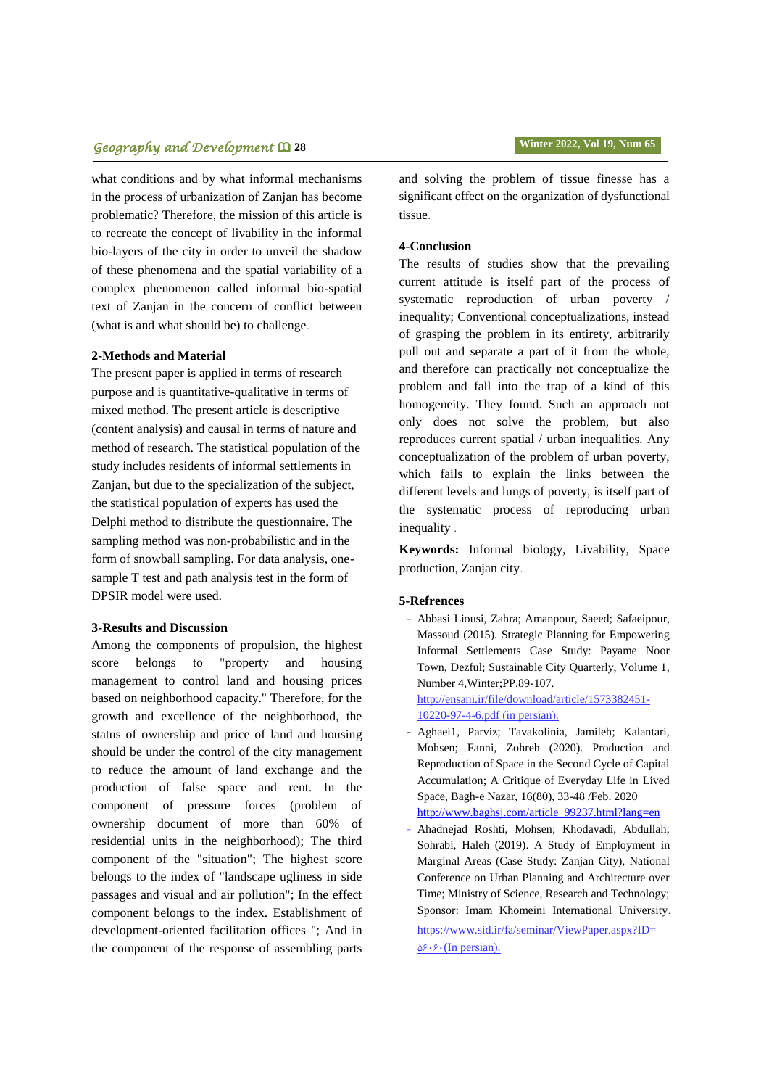# **geography and Development <b>Q** 28 **Winter 2022, Vol** 19, Num 65

what conditions and by what informal mechanisms in the process of urbanization of Zanjan has become problematic? Therefore, the mission of this article is to recreate the concept of livability in the informal bio-layers of the city in order to unveil the shadow of these phenomena and the spatial variability of a complex phenomenon called informal bio-spatial text of Zanjan in the concern of conflict between (what is and what should be) to challenge.

## **2-Methods and Material**

The present paper is applied in terms of research purpose and is quantitative-qualitative in terms of mixed method. The present article is descriptive (content analysis) and causal in terms of nature and method of research. The statistical population of the study includes residents of informal settlements in Zanjan, but due to the specialization of the subject, the statistical population of experts has used the Delphi method to distribute the questionnaire. The sampling method was non-probabilistic and in the form of snowball sampling. For data analysis, onesample T test and path analysis test in the form of DPSIR model were used.

## **3-Results and Discussion**

Among the components of propulsion, the highest score belongs to "property and housing management to control land and housing prices based on neighborhood capacity." Therefore, for the growth and excellence of the neighborhood, the status of ownership and price of land and housing should be under the control of the city management to reduce the amount of land exchange and the production of false space and rent. In the component of pressure forces (problem of ownership document of more than 60% of residential units in the neighborhood); The third component of the "situation"; The highest score belongs to the index of "landscape ugliness in side passages and visual and air pollution"; In the effect component belongs to the index. Establishment of development-oriented facilitation offices "; And in the component of the response of assembling parts and solving the problem of tissue finesse has a significant effect on the organization of dysfunctional tissue.

## **4-Conclusion**

The results of studies show that the prevailing current attitude is itself part of the process of systematic reproduction of urban poverty / inequality; Conventional conceptualizations, instead of grasping the problem in its entirety, arbitrarily pull out and separate a part of it from the whole, and therefore can practically not conceptualize the problem and fall into the trap of a kind of this homogeneity. They found. Such an approach not only does not solve the problem, but also reproduces current spatial / urban inequalities. Any conceptualization of the problem of urban poverty, which fails to explain the links between the different levels and lungs of poverty, is itself part of the systematic process of reproducing urban inequality .

**Keywords:** Informal biology, Livability, Space production, Zanjan city.

### **5-Refrences**

- Abbasi Liousi, Zahra; Amanpour, Saeed; Safaeipour, Massoud (2015). Strategic Planning for Empowering Informal Settlements Case Study: Payame Noor Town, Dezful; Sustainable City Quarterly, Volume 1, Number 4,Winter;PP.89-107.

http://ensani.ir/file/download/article/1573382451- 10220-97-4-6.pdf (in persian).

- Aghaei1, Parviz; Tavakolinia, Jamileh; Kalantari, Mohsen; Fanni, Zohreh (2020). Production and Reproduction of Space in the Second Cycle of Capital Accumulation; A Critique of Everyday Life in Lived Space, Bagh-e Nazar, 16(80), 33-48 /Feb. 2020 [http://www.baghsj.com/article\\_99237.html?lang=en](http://www.baghsj.com/article_99237.html?lang=en)
- Ahadnejad Roshti, Mohsen; Khodavadi, Abdullah; Sohrabi, Haleh (2019). A Study of Employment in Marginal Areas (Case Study: Zanjan City), National Conference on Urban Planning and Architecture over Time; Ministry of Science, Research and Technology; Sponsor: Imam Khomeini International University. [https://www.sid.ir/fa/seminar/ViewPaper.aspx?ID=](https://www.sid.ir/fa/seminar/ViewPaper.aspx?ID=56060(In)  $\Delta$ ۶۰۶۰ (In persian).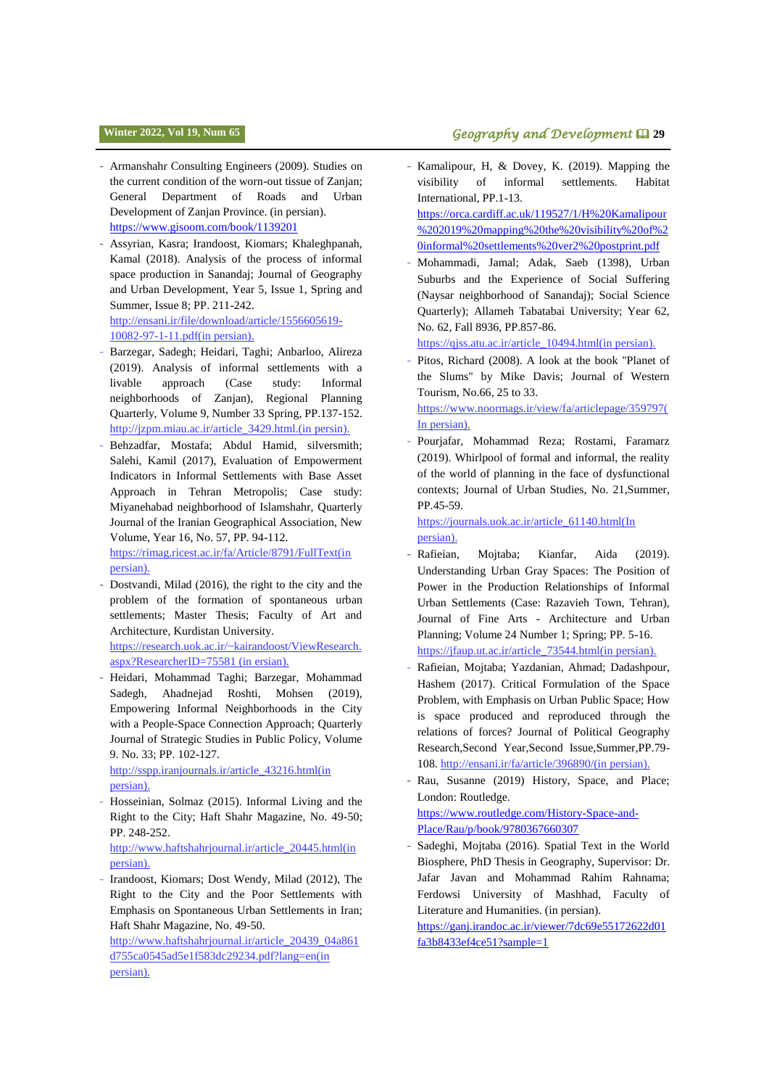- Armanshahr Consulting Engineers (2009). Studies on the current condition of the worn-out tissue of Zanjan; General Department of Roads and Urban Development of Zanjan Province. (in persian). <https://www.gisoom.com/book/1139201>
- Assyrian, Kasra; Irandoost, Kiomars; Khaleghpanah, Kamal (2018). Analysis of the process of informal space production in Sanandaj; Journal of Geography and Urban Development, Year 5, Issue 1, Spring and Summer, Issue 8; PP. 211-242. [http://ensani.ir/file/download/article/1556605619-](http://ensani.ir/file/download/article/1556605619-10082-97-1-11.pdf(in) [10082-97-1-11.pdf\(in](http://ensani.ir/file/download/article/1556605619-10082-97-1-11.pdf(in) persian).
- Barzegar, Sadegh; Heidari, Taghi; Anbarloo, Alireza (2019). Analysis of informal settlements with a livable approach (Case study: Informal neighborhoods of Zanjan), Regional Planning Quarterly, Volume 9, Number 33 Spring, PP.137-152. [http://jzpm.miau.ac.ir/article\\_3429.html.\(in](http://jzpm.miau.ac.ir/article_3429.html.(in) persin).
- Behzadfar, Mostafa; Abdul Hamid, silversmith; Salehi, Kamil (2017), Evaluation of Empowerment Indicators in Informal Settlements with Base Asset Approach in Tehran Metropolis; Case study: Miyanehabad neighborhood of Islamshahr, Quarterly Journal of the Iranian Geographical Association, New Volume, Year 16, No. 57, PP. 94-112.

[https://rimag.ricest.ac.ir/fa/Article/8791/FullText\(in](https://rimag.ricest.ac.ir/fa/Article/8791/FullText(in) persian).

Dostvandi, Milad (2016), the right to the city and the problem of the formation of spontaneous urban settlements; Master Thesis; Faculty of Art and Architecture, Kurdistan University.

[https://research.uok.ac.ir/~kairandoost/ViewResearch.](https://research.uok.ac.ir/~kairandoost/ViewResearch.aspx?ResearcherID=75581%20(in) [aspx?ResearcherID=75581 \(in](https://research.uok.ac.ir/~kairandoost/ViewResearch.aspx?ResearcherID=75581%20(in) ersian).

- Heidari, Mohammad Taghi; Barzegar, Mohammad Sadegh, Ahadnejad Roshti, Mohsen (2019), Empowering Informal Neighborhoods in the City with a People-Space Connection Approach; Quarterly Journal of Strategic Studies in Public Policy, Volume 9. No. 33; PP. 102-127.

http://sspp.iranjournals.ir/article\_43216.html(in persian).

Hosseinian, Solmaz (2015). Informal Living and the Right to the City; Haft Shahr Magazine, No. 49-50; PP. 248-252.

[http://www.haftshahrjournal.ir/article\\_20445.html\(in](http://www.haftshahrjournal.ir/article_20445.html(in) persian).

Irandoost, Kiomars; Dost Wendy, Milad (2012), The Right to the City and the Poor Settlements with Emphasis on Spontaneous Urban Settlements in Iran; Haft Shahr Magazine, No. 49-50.

[http://www.haftshahrjournal.ir/article\\_20439\\_04a861](http://www.haftshahrjournal.ir/article_20439_04a861d755ca0545ad5e1f583dc29234.pdf?lang=en(in) [d755ca0545ad5e1f583dc29234.pdf?lang=en\(in](http://www.haftshahrjournal.ir/article_20439_04a861d755ca0545ad5e1f583dc29234.pdf?lang=en(in) persian).

# **i Winter 2022, Vol 19, Num 65 Geography and Development Q** 29

- Kamalipour, H, & Dovey, K. (2019). Mapping the visibility of informal settlements. Habitat International, PP.1-13.

[https://orca.cardiff.ac.uk/119527/1/H%20Kamalipour](https://orca.cardiff.ac.uk/119527/1/H%20Kamalipour%202019%20mapping%20the%20visibility%20of%20informal%20settlements%20ver2%20postprint.pdf) [%202019%20mapping%20the%20visibility%20of%2](https://orca.cardiff.ac.uk/119527/1/H%20Kamalipour%202019%20mapping%20the%20visibility%20of%20informal%20settlements%20ver2%20postprint.pdf) [0informal%20settlements%20ver2%20postprint.pdf](https://orca.cardiff.ac.uk/119527/1/H%20Kamalipour%202019%20mapping%20the%20visibility%20of%20informal%20settlements%20ver2%20postprint.pdf)

- Mohammadi, Jamal; Adak, Saeb (1398), Urban Suburbs and the Experience of Social Suffering (Naysar neighborhood of Sanandaj); Social Science Quarterly); Allameh Tabatabai University; Year 62, No. 62, Fall 8936, PP.857-86.

https://qjss.atu.ac.ir/article\_10494.html(in persian).

Pitos, Richard (2008). A look at the book "Planet of the Slums" by Mike Davis; Journal of Western Tourism, No.66, 25 to 33.

[https://www.noormags.ir/view/fa/articlepage/359797\(](https://www.noormags.ir/view/fa/articlepage/359797(In) [In](https://www.noormags.ir/view/fa/articlepage/359797(In) persian).

- Pourjafar, Mohammad Reza; Rostami, Faramarz (2019). Whirlpool of formal and informal, the reality of the world of planning in the face of dysfunctional contexts; Journal of Urban Studies, No. 21,Summer, PP.45-59.

[https://journals.uok.ac.ir/article\\_61140.html\(In](https://journals.uok.ac.ir/article_61140.html(In) persian).

- Rafieian, Mojtaba; Kianfar, Aida (2019). Understanding Urban Gray Spaces: The Position of Power in the Production Relationships of Informal Urban Settlements (Case: Razavieh Town, Tehran), Journal of Fine Arts - Architecture and Urban Planning; Volume 24 Number 1; Spring; PP. 5-16. [https://jfaup.ut.ac.ir/article\\_73544.html\(in](https://jfaup.ut.ac.ir/article_73544.html(in) persian).
- Rafieian, Mojtaba; Yazdanian, Ahmad; Dadashpour, Hashem (2017). Critical Formulation of the Space Problem, with Emphasis on Urban Public Space; How is space produced and reproduced through the relations of forces? Journal of Political Geography Research,Second Year,Second Issue,Summer,PP.79- 108[. http://ensani.ir/fa/article/396890/\(in](http://ensani.ir/fa/article/396890/(in) persian).
- Rau, Susanne (2019) History, Space, and Place; London: Routledge. [https://www.routledge.com/History-Space-and-](https://www.routledge.com/History-Space-and-Place/Rau/p/book/9780367660307)[Place/Rau/p/book/9780367660307](https://www.routledge.com/History-Space-and-Place/Rau/p/book/9780367660307)
- Sadeghi, Mojtaba (2016). Spatial Text in the World Biosphere, PhD Thesis in Geography, Supervisor: Dr. Jafar Javan and Mohammad Rahim Rahnama; Ferdowsi University of Mashhad, Faculty of Literature and Humanities. (in persian).

[https://ganj.irandoc.ac.ir/viewer/7dc69e55172622d01](https://ganj.irandoc.ac.ir/viewer/7dc69e55172622d01fa3b8433ef4ce51?sample=1) [fa3b8433ef4ce51?sample=1](https://ganj.irandoc.ac.ir/viewer/7dc69e55172622d01fa3b8433ef4ce51?sample=1)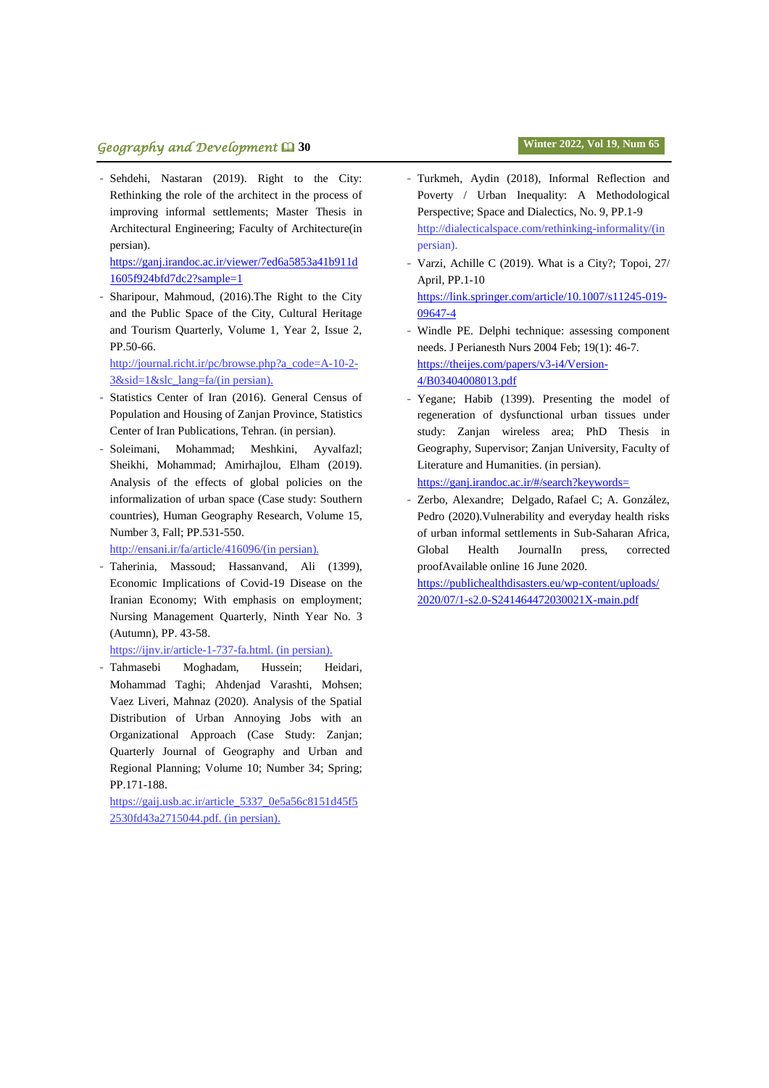# **geography and Development <b>** $\Box$  30 **Winter 2022, Vol** 19, Num 65

- Sehdehi, Nastaran (2019). Right to the City: Rethinking the role of the architect in the process of improving informal settlements; Master Thesis in Architectural Engineering; Faculty of Architecture(in persian).

[https://ganj.irandoc.ac.ir/viewer/7ed6a5853a41b911d](https://ganj.irandoc.ac.ir/viewer/7ed6a5853a41b911d1605f924bfd7dc2?sample=1) [1605f924bfd7dc2?sample=1](https://ganj.irandoc.ac.ir/viewer/7ed6a5853a41b911d1605f924bfd7dc2?sample=1)

Sharipour, Mahmoud, (2016). The Right to the City and the Public Space of the City, Cultural Heritage and Tourism Quarterly, Volume 1, Year 2, Issue 2, PP.50-66.

http://journal.richt.ir/pc/browse.php?a\_code=A-10-2- 3&sid=1&slc\_lang=fa/(in persian).

- Statistics Center of Iran (2016). General Census of Population and Housing of Zanjan Province, Statistics Center of Iran Publications, Tehran. (in persian).
- Soleimani, Mohammad; Meshkini, Ayvalfazl; Sheikhi, Mohammad; Amirhajlou, Elham (2019). Analysis of the effects of global policies on the informalization of urban space (Case study: Southern countries), Human Geography Research, Volume 15, Number 3, Fall; PP.531-550.

http://ensani.ir/fa/article/416096/(in persian).

Taherinia, Massoud; Hassanvand, Ali (1399), Economic Implications of Covid-19 Disease on the Iranian Economy; With emphasis on employment; Nursing Management Quarterly, Ninth Year No. 3 (Autumn), PP. 43-58.

https://ijnv.ir/article-1-737-fa.html. (in persian).

Tahmasebi Moghadam, Hussein; Heidari, Mohammad Taghi; Ahdenjad Varashti, Mohsen; Vaez Liveri, Mahnaz (2020). Analysis of the Spatial Distribution of Urban Annoying Jobs with an Organizational Approach (Case Study: Zanjan; Quarterly Journal of Geography and Urban and Regional Planning; Volume 10; Number 34; Spring; PP.171-188.

https://gaij.usb.ac.ir/article\_5337\_0e5a56c8151d45f5 2530fd43a2715044.pdf. (in persian).

- Turkmeh, Aydin (2018), Informal Reflection and Poverty / Urban Inequality: A Methodological Perspective; Space and Dialectics, No. 9, PP.1-9 [http://dialecticalspace.com/rethinking-informality/\(in](http://dialecticalspace.com/rethinking-informality/(in) persian).
- Varzi, Achille C (2019). What is a City?; Topoi, 27/ April, PP.1-10 [https://link.springer.com/article/10.1007/s11245-019-](https://link.springer.com/article/10.1007/s11245-019-09647-4) [09647-4](https://link.springer.com/article/10.1007/s11245-019-09647-4)
- Windle PE. Delphi technique: assessing component needs. J Perianesth Nurs 2004 Feb; 19(1): 46-7. [https://theijes.com/papers/v3-i4/Version-](https://theijes.com/papers/v3-i4/Version-4/B03404008013.pdf)[4/B03404008013.pdf](https://theijes.com/papers/v3-i4/Version-4/B03404008013.pdf)
- Yegane; Habib (1399). Presenting the model of regeneration of dysfunctional urban tissues under study: Zanjan wireless area; PhD Thesis in Geography, Supervisor; Zanjan University, Faculty of Literature and Humanities. (in persian).

[https://ganj.irandoc.ac.ir/#/search?keywords=](https://ganj.irandoc.ac.ir/#/search?keywords=%D8%A7%D8%B1%D8%A7%D8%A6%DB%80%20%D8%A7%D9%84%DA%AF%D9%88%DB%8C%20%D8%A8%D8%A7%D8%B2%D8%A2%D9%81%D8%B1%DB%8C%D9%86%DB%8C%20%D8%A8%D8%A7%D9%81%D8%AA%E2%80%8C%E2%80%8C%D9%87%D8%A7%DB%8C%20%D9%86%D8%A7%DA%A9%D8%A7%D8%B1%D8%A2%D9%85%D8%AF%20%)

Zerbo, Alexandre; Delgado, Rafael C; A. González, Pedro (2020).Vulnerability and everyday health risks of urban informal settlements in Sub-Saharan Africa, [Global Health JournalI](http://sd.sciexplore.ir/science/journal/24146447)n press, corrected proofAvailable online 16 June 2020.

[https://publichealthdisasters.eu/wp-content/uploads/](https://publichealthdisasters.eu/wp-content/uploads/%202020/07/1-s2.0-S241464472030021X-main.pdf)  [2020/07/1-s2.0-S241464472030021X-main.pdf](https://publichealthdisasters.eu/wp-content/uploads/%202020/07/1-s2.0-S241464472030021X-main.pdf)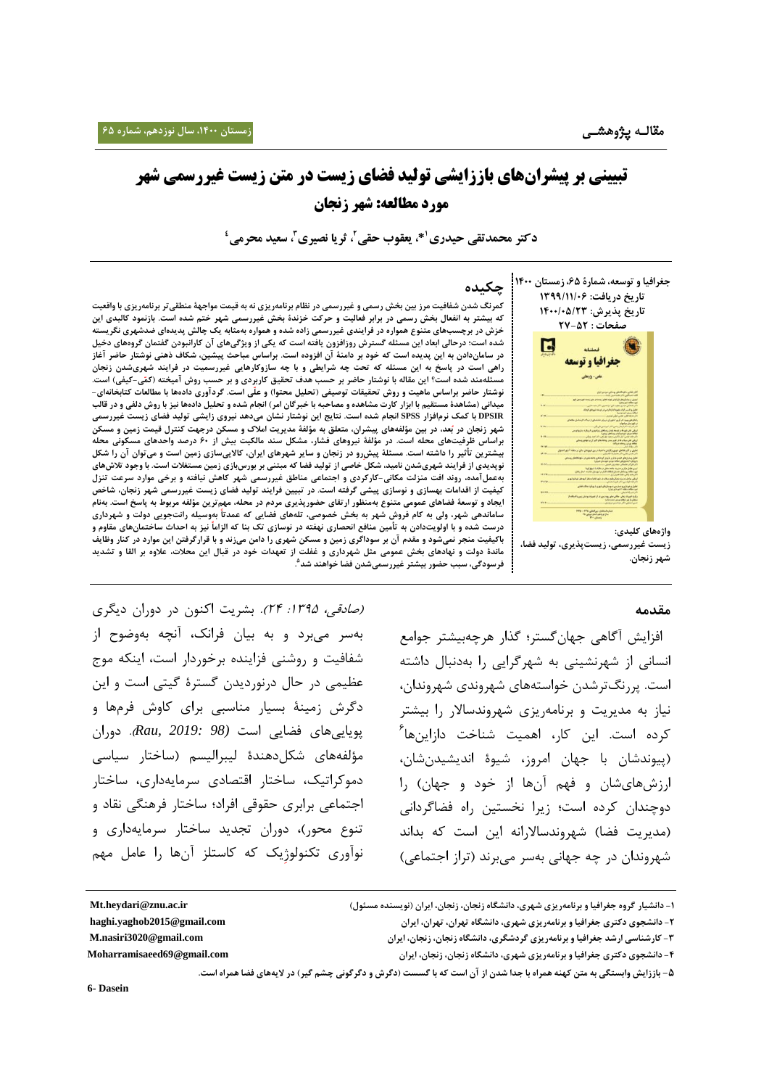# **تبیینی بر پیشرانهای باززایشی تولید فضای زیست در متن زیست غیررسمی شهر مورد مطالعه: شهر زنجان**

**\*، یعقوب حقی <sup>1</sup> دکتر محمدتقی حیدری ، ثریا نصیری <sup>2</sup> ، سعید محرمی <sup>3</sup> 4**



**زیست غیررسمی، زیستپذیری، تولید فضا، شهر زنجان.**

## **چکیده**

کمرنگ شدن شفافیت مرز بین بخش رسمی و غیررسمی در نظام برنامهریزی نه به قیمت مواجههٔ منطقی تر برنامهریزی با واقعیت که بیشتر به انفعال بخش رسمی در برابر فعالیت و حرکت خزندهٔ بخش غیررسمی شهر ختم شده است. بازنمود کالبدی این خزش در برچسبهای متنوع همواره در فرایندی غیررسمی زاده شده و همواره بهمثابه یک چالش پدیدهای ضدشهری نگریسته شده است؛ درحالی ابعاد این مسئله گسترش روزافزون یافته است که یکی از ویژگیهای آن کارانبودن گفتمان گروههای دخیل در ساماندادن به این پدیده است که خود بر دامنهٔ آن افزوده است. براساس مباحث پیشین، شکاف ذهنی نوشتار حاضر آغاز راهی است در پاسخ به این مسئله که تحت چه شرایطی و با چه سازوکارهایی غیررسمیت در فرایند شهریشدن زنجان ئلهمند شده است؟ این مقاله با نوشتار حاضر بر حسب هدف تحقیق کاربردی و بر حسب روش آمیخته (کمّی-کیفی) است. نوشتار حاضر براساس ماهیت و روش تحقیقات توصیفی (تحلیل محتوا) و علّی است. گردآوری دادهها با مطالعات کتابخانهای-میدانی (مشاهدهٔ مستقیم با ابزار کارت مشاهده و مصاحبه با خبرگان امر) انجام شده و تحلیل دادهها نیز با روش دلفی و در قالب DPSIR با کمک نرمافزار SPSS انجام شده است. نتایج این نوشتار نشان میدهد نیروی زایشی تولید فضای زیست غیررسمی شهر زنجان در بُعد، در بین مؤلفههای پیشران، متعلق به مؤلفهٔ مدیریت املاک و مسکن درجهت کنترل قیمت زمین و مسکن براساس ظرفیتهای محله است. در مؤلفهٔ نیروهای فشار، مشکل سند مالکیت بیش از ۶۰ درصد واحدهای مسکونی محله سترین تأثیر را داشته است. مسئلهٔ پیشِرو در زنجان و سایر شهرهای ایران، کالاییسازی زمین است و میتوان آن را شکل نوپدیدی از فرایند شهریشدن نامید، شکل َخاصی از تولید فضا که مبتنی بر بورسبازی ِ زمین مستغلات است. با وجود تلاش های **بهعملآمده، روند افت منزلت مکانی-کارکردی و اجتماعی مناطق غیررسمی شهر کاهش نیافته و برخی موارد سرعت تنزل** کیفیت از اقدامات بهسازی و نوسازی پیشی گرفته است. در تبیین فرایند تولید فضای زیست غیررسمی شهر زنجان، شاخص ایجاد و توسعهٔ فضاهای عمومی متنوع بهمنظور ارتقای حضورپذیری مردم در محله، مهم ترین مؤلفه مربوط به پاسخ است. بهنام **ساماندهی شهر، ولی به کام فروش شهر به بخش خصوصی، تلههای فضایی که عمدتا بهوسیله رانتجویی دولت و شهرداری** درست شده و با اولویتدادن به تأمین منافع انحصاری نهفته در نوسازی تک بنا که الزاماً نیز به احداث ساختمانهای مقاوم و باکیفیت منجر نمیشود و مقدم آن بر سوداگری زمین و مسکن شهری را دامن میزند و با قرارگرفتن این موارد در کنار وظایف ماندهٔ دولت و نهادهای بخش عمومی مثل شهرداری و غفلت از تعهدات خود در قبال این محلات، علاوه بر القا و تشدید **5 فرسودگی، سبب حضور بیشتر غیررسمیشدن فضا خواهند شد .**

## **مقدمه**

 افزایش آگاهی جهانگستر؛ گذار هرچهبیشتر جوامع انسانی از شهرنشینی به شهرگرایی را بهدنبال داشته است. پررنگترشدن خواستههای شهروندی شهروندان، نیاز به مدیریت و برنامهریزی شهروندساالر را بیشتر کرده است. این کار، اهمیت شناخت دازاینها<sup>۶</sup> )پیوندشان با جهان امروز، شیوۀ اندیشیدنشان، ارزشهایشان و فهم آنها از خود و جهان) را دوچندان کرده است؛ زیرا نخستین راه فضاگردانی (مدیریت فضا) شهروندسالارانه این است که بداند شهروندان در چه جهانی بهسر میبرند )تراز اجتماعی(

*(صادقی، ۱۳۹۵: ۲۴).* بشریت اکنون در دوران دیگری بهسر میبرد و به بیان فرانک، آنچه بهوضوح از شفافیت و روشنی فزاینده برخوردار است، اینکه موج عظیمی در حال درنوردیدن گسترۀ گیتی است و این دگرش زمینۀ بسیار مناسبی برای کاوش فرمها و پویاییهای فضایی است *(98 2019: ,Rau*). دوران مؤلفههای شکل،دهندۀ لیبرالیسم (ساختار سیاسی دموکراتیک، ساختار اقتصادی سرمایهداری، ساختار اجتماعی برابری حقوقی افراد؛ ساختار فرهنگی نقاد و تنوع محور)، دوران تجدید ساختار سرمایهداری و نوآوری تکنولوژ یک که کاستلز آنها را عامل مهم

**6- Dasein**

**<sup>-0</sup> دانشیار گروه جغرافیا و برنامهریزی شهری، دانشگاه زنجان، زنجان، ایران )نویسنده مسئول( ir.ac.znu@heydari.Mt**

**<sup>-5</sup> دانشجوی دکتری جغرافیا و برنامهریزی شهری، دانشگاه تهران، تهران، ایران com.gmail@2015yaghob.haghi**

**<sup>-3</sup> کارشناسی ارشد جغرافیا و برنامهریزی گردشگری، دانشگاه زنجان، زنجان، ایران com.gmail@3020nasiri.M** 

**<sup>-0</sup> دانشجوی دکتری جغرافیا و برنامهریزی شهری، دانشگاه زنجان، زنجان، ایران com.gmail@69Moharramisaeed**

**<sup>-5</sup> باززایش وابستگی به متن کهنه همراه با جدا شدن از آن است که با گسست )دگرش و دگرگونی چشم گیر( در الیههای فضا همراه است.**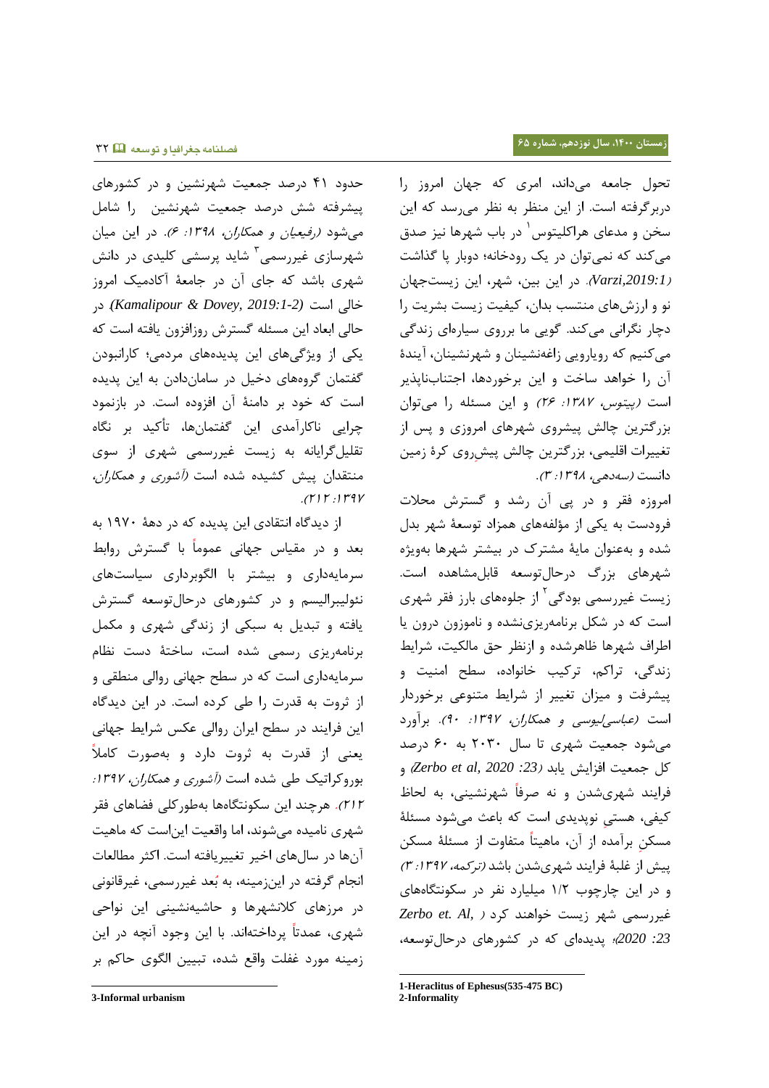حدود 23 درصد جمعیت شهرنشین و در کشورهای پیشرفته شش درصد جمعیت شهرنشین را شامل می شود *(رفیعیان و همکاران، ۱۳۹۸: ۶).* در این میان شهرسازی غیررسمی<sup>۳</sup> شاید پرسشی کلیدی در دانش شهری باشد که جای آن در جامعۀ آکادمیک امروز خالی است *(2019:1-2 ,Dovey & Kamalipour(*. در حالی ابعاد این مسئله گسترش روزافزون یافته است که یکی از ویژگیهای این پدیدههای مردمی؛ کارانبودن گفتمان گروههای دخیل در ساماندادن به این پدیده است که خود بر دامنۀ آن افزوده است. در بازنمود چرایی ناکارآمدی این گفتمانها، تأکید بر نگاه تقلیلگرایانه به زیست غیررسمی شهری از سوی منتقدان پیش کشیده شده است *(آشوری و همکاران،*  $.$ ( $\gamma$ ) $\gamma$ .) $\gamma$ 

از دیدگاه انتقادی این پدیده که در دهۀ 3225 به بعد و در مقیاس جهانی عموما با گسترش روابط سرمایهداری و بیشتر با الگوبرداری سیاستهای نئولیبرالیسم و در کشورهای درحالتوسعه گسترش یافته و تبدیل به سبکی از زندگی شهری و مکمل برنامهریزی رسمی شده است، ساختۀ دست نظام سرمایهداری است که در سطح جهانی روالی منطقی و از ثروت به قدرت را طی کرده است. در این دیدگاه این فرایند در سطح ایران روالی عکس شرایط جهانی یعنی از قدرت به ثروت دارد و بهصورت کامال بوروکراتیک طی شده است *(آشوری و همکاران، ۱۳۹۷:* 737(. هرچند این سکونتگاهها بهطورکلی فضاهای فقر شهری نامیده میشوند، اما واقعیت ایناست که ماهیت آنها در سالهای اخیر تغییریافته است. اکثر مطالعات انجام گرفته در اینزمینه، به بُعد غیررسمی، غیرقانونی در مرزهای کالنشهرها و حاشیهنشینی این نواحی شهری، عمدتا پرداختهاند. با این وجود آنچه در این زمینه مورد غفلت واقع شده، تبیین الگوی حاکم بر

l

تحول جامعه میداند، امری که جهان امروز را دربرگرفته است. از این منظر به نظر میرسد که این 3 سخن و مدعای هراکلیتوس در باب شهرها نیز صدق میکند که نمیتوان در یک رودخانه؛ دوبار پا گذاشت )*,2019:1Varzi*). در این بین، شهر، این زیستجهان نو و ارزشهای منتسب بدان، کیفیت زیست بشریت را دچار نگرانی میکند. گویی ما برروی سیارهای زندگی میکنیم که رویارویی زاغهنشینان و شهرنشینان، آیندۀ آن را خواهد ساخت و این برخوردها، اجتنابناپذیر است *(پیتوس، ١٣٨٧: ٢۶)* و این مسئله را میتوان بزرگترین چالش پیشروی شهرهای امروزی و پس از تغییرات اقلیمی، بزرگترین چالش پیش روی کرۀ زمین دانست *(سهدهی، ۱۳۹۸: ۳).* 

امروزه فقر و در پی آن رشد و گسترش محالت فرودست به یکی از مؤلفههای همزاد توسعۀ شهر بدل شده و بهعنوان مایۀ مشترک در بیشتر شهرها بهویژه شهرهای بزرگ درحالتوسعه قابلمشاهده است. زیست غیررسمی بودگی<sup>۲</sup> از جلوههای بارز فقر شهری است که در شکل برنامهریزینشده و ناموزون درون یا اطراف شهرها ظاهرشده و ازنظر حق مالکیت، شرایط زندگی، تراکم، ترکیب خانواده، سطح امنیت و پیشرفت و میزان تغییر از شرایط متنوعی برخوردار است *(عباسی لیوسی و همکاران، ۱۳۹۷: ۹۰).* برآورد میشود جمعیت شهری تا سال 7505 به 65 درصد کل جمعیت افزایش یابد )*:23 2020 ,al et Zerbo* )و فرایند شهریشدن و نه صرفا شهرنشینی، به لحاظ کیفی، هستی نوپدیدی است که باعث میشود مسئلۀ مسکن برآمده از آن، ماهیتا متفاوت از مسئلۀ مسکن پیش از غلبۀ فرایند شهریشدن باشد *(ترکمه، ١٣٩٧: ٣)* و در این چارچوب 3/7 میلیارد نفر در سکونتگاههای غیررسمی شهر زیست خواهند کرد ) *,Al .et Zerbo :23 2020*(؛ پدیدهای که در کشورهای درحالتوسعه،

-

**<sup>3-</sup>Informal urbanism**

**<sup>1-</sup>Heraclitus of Ephesus(535-475 BC)**

**<sup>2-</sup>Informality**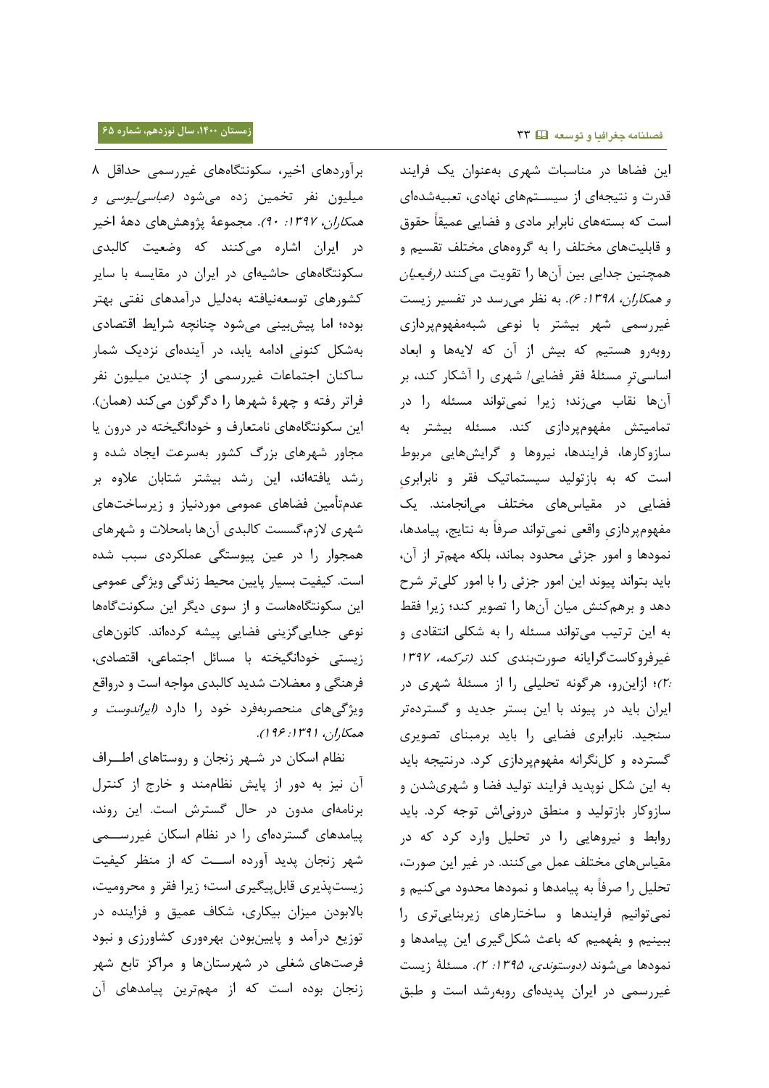برآوردهای اخیر، سکونتگاههای غیررسمی حداقل 2 میلیون نفر تخمین زده میشود *(عباسیلیوسی و* هم*کاران، ۱۳۹۷: ۹۰*). مجموعهٔ پژوهشهای دههٔ اخیر در ایران اشاره میکنند که وضعیت کالبدی سکونتگاههای حاشیهای در ایران در مقایسه با سایر کشورهای توسعهنیافته بهدلیل درآمدهای نفتی بهتر بوده؛ اما پیشبینی میشود چنانچه شرایط اقتصادی بهشکل کنونی ادامه یابد، در آیندهای نزدیک شمار ساکنان اجتماعات غیررسمی از چندین میلیون نفر فراتر رفته و چهرۀ شهرها را دگرگون میکند (همان). این سکونتگاههای نامتعارف و خودانگیخته در درون یا مجاور شهرهای بزرگ کشور بهسرعت ایجاد شده و رشد یافتهاند، این رشد بیشتر شتابان عالوه بر عدمتأمین فضاهای عمومی موردنیاز و زیرساختهای شهری الزم،گسست کالبدی آنها بامحالت و شهرهای همجوار را در عین پیوستگی عملکردی سبب شده است. کیفیت بسیار پایین محیط زندگی ویژگی عمومی این سکونتگاههاست و از سوی دیگر این سکونتگاهها نوعی جداییگزینی فضایی پیشه کردهاند. کانونهای زیستی خودانگیخته با مسائل اجتماعی، اقتصادی، فرهنگی و معضالت شدید کالبدی مواجه است و درواقع ویژگیهای منحصربهفرد خود را دارد (*ایراندوست و* همکاران، ۱۳۹۱: ۱۹۶).

نظام اسکان در شـهر زنجان و روستاهای اطــراف آن نیز به دور از پایش نظاممند و خارج از کنترل برنامهای مدون در حال گسترش است. این روند، پیامدهای گستردهای را در نظام اسکان غیررســمی شهر زنجان پدید آورده اســت که از منظر کیفیت زیستپذیری قابلپیگیری است؛ زیرا فقر و محرومیت، باالبودن میزان بیکاری، شکاف عمیق و فزاینده در توزیع درآمد و پایینبودن بهرهوری کشاورزی و نبود فرصتهای شغلی در شهرستانها و مراکز تابع شهر زنجان بوده است که از مهمترین پیامدهای آن این فضاها در مناسبات شهری بهعنوان یک فرایند قدرت و نتیجهای از سیسـتمهای نهادی، تعبیهشدهای است که بستههای نابرابر مادی و فضایی عمیقا حقوق و قابلیتهای مختلف را به گروههای مختلف تقسیم و همچنین جدایی بین آنها را تقویت میکنند *(رفیعیان* و هم*کاران، ١٣٩٨: ۶)*. به نظر میرسد در تفسیر زیست غیررسمی شهر بیشتر با نوعی شبهمفهومپردازی روبهرو هستیم که بیش از آن که الیهها و ابعاد اساسی تر مسئلۀ فقر فضایی/ شهری را آشکار کند، بر آنها نقاب میزند؛ زیرا نمیتواند مسئله را در تمامیتش مفهومپردازی کند. مسئله بیشتر به سازوکارها، فرایندها، نیروها و گرایشهایی مربوط است که به بازتولید سیستماتیک فقر و نابرابری فضایی در مقیاسهای مختلف میانجامند. یک مفهوم پردازی واقعی نمیتواند صرفا به نتایج، پیامدها، نمودها و امور جزئی محدود بماند، بلکه مهمتر از آن، باید بتواند پیوند این امور جزئی را با امور کلیتر شرح دهد و برهمکنش میان آنها را تصویر کند؛ زیرا فقط به این ترتیب میتواند مسئله را به شکلی انتقادی و غیرفروکاستگرایانه صورتبندی کند )ترکمه، <sup>3022</sup> 7:(؛ ازاینرو، هرگونه تحلیلی را از مسئلۀ شهری در ایران باید در پیوند با این بستر جدید و گستردهتر سنجید. نابرابری فضایی را باید برمبنای تصویری گسترده و کلنگرانه مفهومپردازی کرد. درنتیجه باید به این شکل نوپدید فرایند تولید فضا و شهریشدن و سازوکار بازتولید و منطق درونیاش توجه کرد. باید روابط و نیروهایی را در تحلیل وارد کرد که در مقیاسهای مختلف عمل میکنند. در غیر این صورت، تحلیل را صرفا به پیامدها و نمودها محدود میکنیم و نمیتوانیم فرایندها و ساختارهای زیربناییتری را ببینیم و بفهمیم که باعث شکلگیری این پیامدها و نمودها میشوند *(دوستوندی، ۱۳۹۵: ۲).* مسئلۀ زیست غیررسمی در ایران پدیدهای روبهرشد است و طبق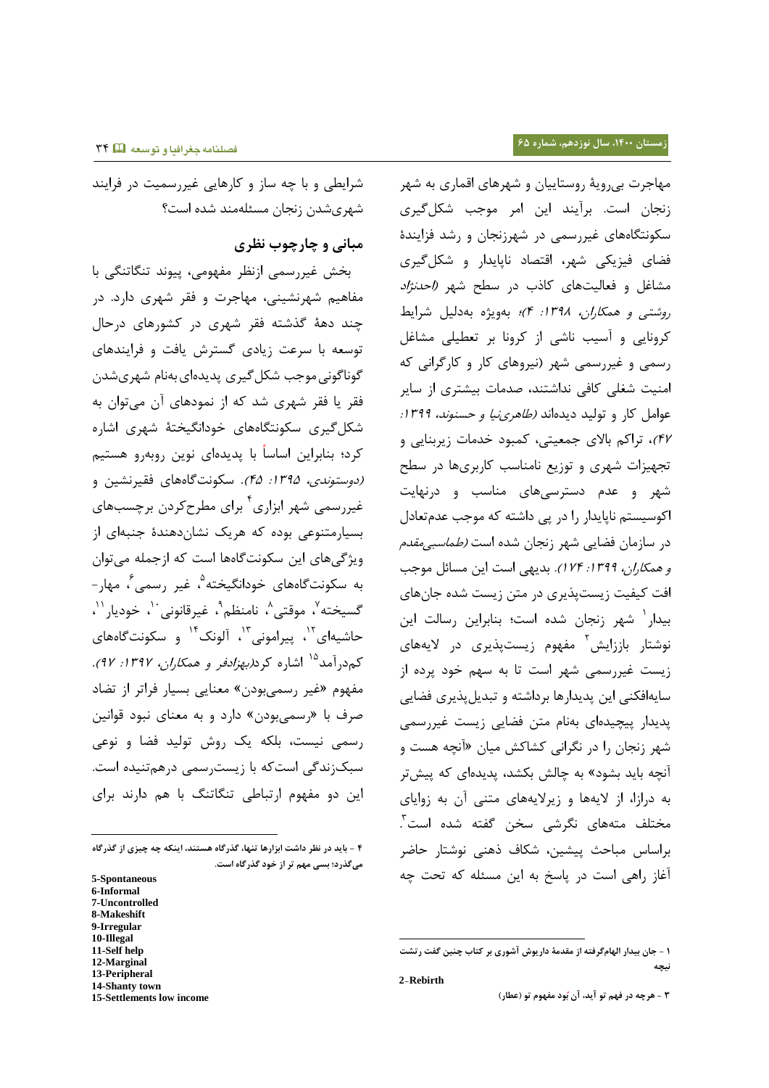شرایطی و با چه ساز و کارهایی غیررسمیت در فرایند شهریشدن زنجان مسئلهمند شده است؟

# **مبانی و چارچوب نظری**

 بخش غیررسمی ازنظر مفهومی، پیوند تنگاتنگی با مفاهیم شهرنشینی، مهاجرت و فقر شهری دارد. در چند دهۀ گذشته فقر شهری در کشورهای درحال توسعه با سرعت زیادی گسترش یافت و فرایندهای گوناگونی موجب شکل گیری پدیدهای بهنام شهریشدن فقر یا فقر شهری شد که از نمودهای آن میتوان به شکلگیری سکونتگاههای خودانگیختۀ شهری اشاره کرد؛ بنابراین اساسا با پدیدهای نوین روبهرو هستیم (دوستو*ندی، ١٣٩۵: ۴۵).* سکونتگاههای فقیرنشین و غیررسمی شهر ابزاری ٔ برای مطرحکردن برچسبهای بسیارمتنوعی بوده که هریک نشاندهندۀ جنبهای از ویژگیهای این سکونتگاهها است که ازجمله میتوان به سکونت *گ*اههای خودانگیخته<sup>۹</sup>، غیر رسمی<sup>۶</sup>، مهار *-*گسیخته<sup>۷</sup>، موقتی^، نامنظم<sup>۹</sup>، غیرقانونی<sup>۰٬</sup>، خودیار<sup>۱٬</sup>، حاشیهای<sup>۱۲</sup>، پیرامونی<sup>۱۲</sup>، آلونک<sup>۱۲</sup> و سکونتگاههای کم درآمد<sup>۱۵</sup> اشاره کرد*(بهزادفر و همکاران، ۱۳۹۷: ۹۷).* مفهوم «غیر رسمیبودن» معنایی بسیار فراتر از تضاد صرف با «رسمیبودن» دارد و به معنای نبود قوانین رسمی نیست، بلکه یک روش تولید فضا و نوعی سبکزندگی استکه با زیسترسمی درهمتنیده است. این دو مفهوم ارتباطی تنگاتنگ با هم دارند برای

l

- **8-Makeshift**
- **9-Irregular**
- **10-Illegal**
- **11-Self help**
- **12-Marginal**
- **13-Peripheral 14-Shanty town**
- **15-Settlements low income**

مهاجرت بیرویۀ روستاییان و شهرهای اقماری به شهر زنجان است. برآیند این امر موجب شکلگیری سکونتگاههای غیررسمی در شهرزنجان و رشد فزایندۀ فضای فیزیکی شهر، اقتصاد ناپایدار و شکلگیری مشاغل و فعالیتهای کاذب در سطح شهر *(احدنژاد* روشتی <sup>و</sup> همکاران، :3022 2(؛ بهویژه بهدلیل شرایط کرونایی و آسیب ناشی از کرونا بر تعطیلی مشاغل رسمی و غیررسمی شهر )نیروهای کار و کارگرانی که امنیت شغلی کافی نداشتند، صدمات بیشتری از سایر عوامل کار و تولید دیدهاند *(طاهرینیا و حسنوند، ١٣٩٩:* 22(، تراکم باالی جمعیتی، کمبود خدمات زیربنایی و تجهیزات شهری و توزیع نامناسب کاربریها در سطح شهر و عدم دسترسیهای مناسب و درنهایت اکوسیستم ناپایدار را در پی داشته که موجب عدمتعادل در سازمان فضایی شهر زنجان شده است *(طماسبیمقدم* و *همکاران، 1۳۹۹: ۱۷۴).* بدیهی است این مسائل موجب افت کیفیت زیستپذیری در متن زیست شده جانهای بیدار شهر زنجان شده است؛ بنابراین رسالت این نوشتار باززایش<sup>۲</sup> مفهوم زیستپذیری در لایههای زیست غیررسمی شهر است تا به سهم خود پرده از سایهافکنی این پدیدارها برداشته و تبدیلپذیری فضایی پدیدار پیچیدهای بهنام متن فضایی زیست غیررسمی شهر زنجان را در نگرانی کشاکش میان »آنچه هست و آنچه باید بشود« به چالش بکشد، پدیدهای که پیشتر به درازا، از الیهها و زیرالیههای متنی آن به زوایای مختلف متههای نگرشی سخن گفته شده است<sup>۳</sup> . براساس مباحث پیشین، شکاف ذهنی نوشتار حاضر آغاز راهی است در پاسخ به این مسئله که تحت چه

1

**<sup>0</sup> - باید در نظر داشت ابزارها تنها، گذرگاه هستند، اینکه چه چیزی از گذرگاه میگذرد؛ بسی مهم تر از خود گذرگاه است.**

**<sup>5-</sup>Spontaneous**

**<sup>6-</sup>Informal 7-Uncontrolled**

**<sup>0</sup> - جان بیدار الهامگرفته از مقدمۀ داریوش آشوری بر کتاب چنین گفت رتشت نیچه**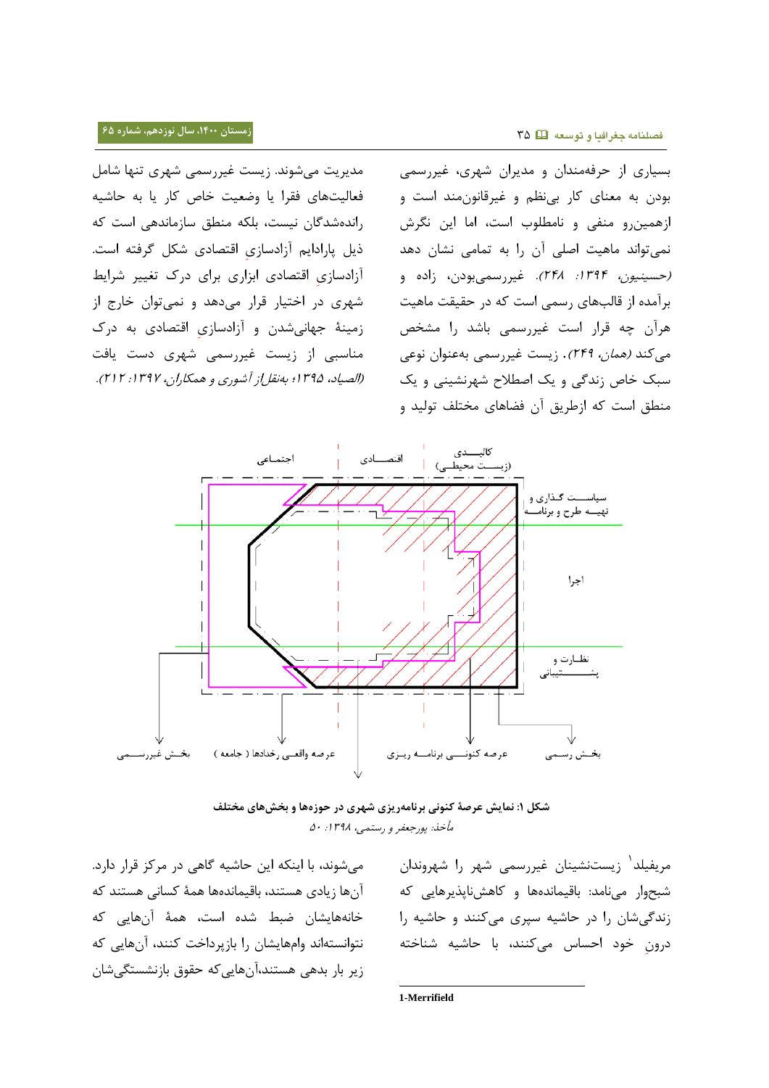**زمستان ،0011 سال نوزدهم، شماره 65 فصلنامه جغرافیا و توسعه** 00

مدیریت میشوند. زیست غیررسمی شهری تنها شامل فعالیتهای فقرا یا وضعیت خاص کار یا به حاشیه راندهشدگان نیست، بلکه منطق سازماندهی است که ذیل پارادایم آزادسازی اقتصادی شکل گرفته است. آزادسازی اقتصادی ابزاری برای درک تغییر شرایط شهری در اختیار قرار میدهد و نمیتوان خارج از زمینۀ جهانیشدن و آزادسازی اقتصادی به درک مناسبی از زیست غیررسمی شهری دست یافت )الصیاد، 3020؛ بهنقلاز آشوری <sup>و</sup> همکاران، :3022 737(.

بسیاری از حرفهمندان و مدیران شهری، غیررسمی بودن به معنای کار بینظم و غیرقانونمند است و ازهمینرو منفی و نامطلوب است، اما این نگرش نمیتواند ماهیت اصلی آن را به تمامی نشان دهد (حسی*نیون، 1۳۹۴: ۲۴۸).* غیررسمیبودن، زاده و برآمده از قالبهای رسمی است که در حقیقت ماهیت هرآن چه قرار است غیررسمی باشد را مشخص میکند *(همان، ۲۴۹)*. زیست غیررسمی بهعنوان نوعی سبک خاص زندگی و یک اصطالح شهرنشینی و یک منطق است که ازطریق آن فضاهای مختلف تولید و



**شکل :0 نمایش عرصۀ کنونی برنامهریزی شهری در حوزهها و بخشهای مختلف** مأخذ: پورجعفر <sup>و</sup> رستمی، :3022 <sup>05</sup>

میشوند، با اینکه این حاشیه گاهی در مرکز قرار دارد. آنها زیادی هستند، باقیماندهها همۀ کسانی هستند که خانههایشان ضبط شده است، همۀ آنهایی که نتوانستهاند وامهایشان را بازپرداخت کنند، آنهایی که زیر بار بدهی هستند،آنهاییکه حقوق بازنشستگیشان

3 مریفیلد زیستنشینان غیررسمی شهر را شهروندان شبحوار مینامد: باقیماندهها و کاهشناپذیرهایی که زندگیشان را در حاشیه سپری میکنند و حاشیه را درون خود احساس میکنند، با حاشیه شناخته

-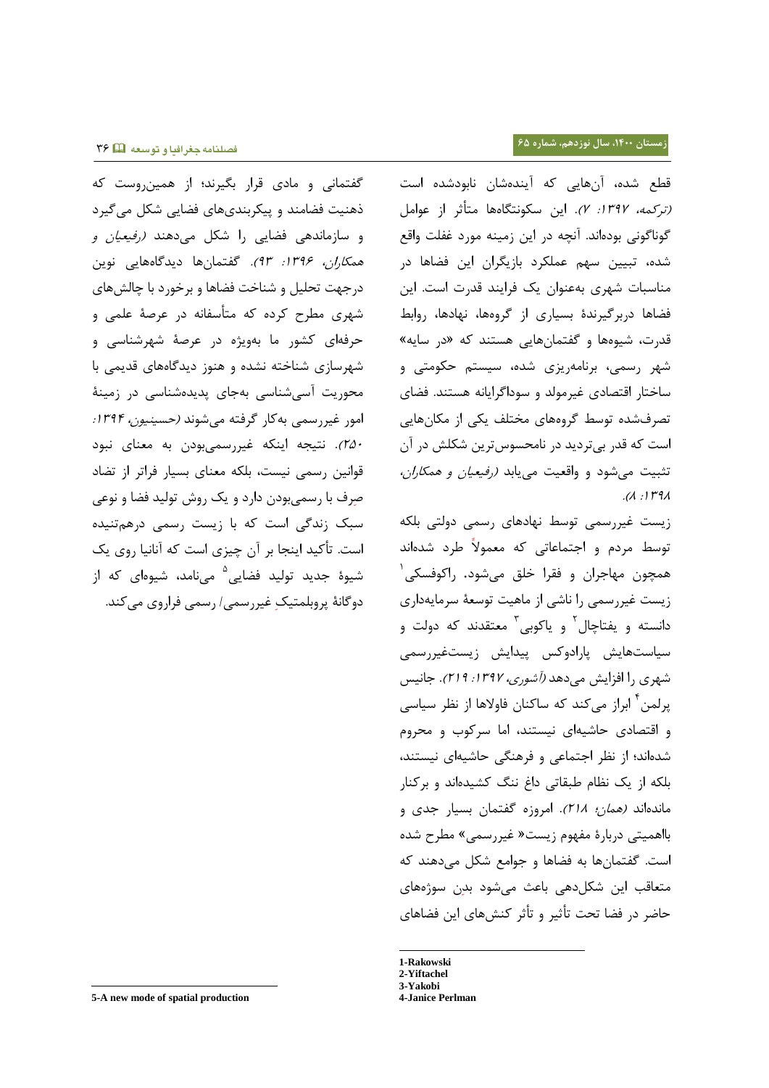گفتمانی و مادی قرار بگیرند؛ از همینروست که ذهنیت فضامند و پیکربندیهای فضایی شکل میگیرد و سازماندهی فضایی را شکل میدهند )رفیعیان <sup>و</sup> هم*کاران، ۱۳۹۶: ۹۳).* گفتمانها دیدگاههایی نوین درجهت تحلیل و شناخت فضاها و برخورد با چالشهای شهری مطرح کرده که متأسفانه در عرصۀ علمی و حرفهای کشور ما بهویژه در عرصۀ شهرشناسی و شهرسازی شناخته نشده و هنوز دیدگاههای قدیمی با محوریت آسیشناسی بهجای پدیدهشناسی در زمینۀ امور غیررسمی بهکار گرفته می شوند *(حسینیون، ۱۳۹۴:* 705(. نتیجه اینکه غیررسمیبودن به معنای نبود قوانین رسمی نیست، بلکه معنای بسیار فراتر از تضاد صرف با رسمیبودن دارد و یک روش تولید فضا و نوعی سبک زندگی است که با زیست رسمی درهمتنیده است. تأکید اینجا بر آن چیزی است که آنانیا روی یک شیوهٔ جدید تولید فضایی<sup>۵</sup> مینامد، شیوهای که از دوگانۀ پروبلمتیک غیررسمی/ رسمی فراروی میکند. قطع شده، آنهایی که آیندهشان نابودشده است )ترکمه، :3022 2(. این سکونتگاهها متأثر از عوامل گوناگونی بودهاند. آنچه در این زمینه مورد غفلت واقع شده، تبیین سهم عملکرد بازیگران این فضاها در مناسبات شهری بهعنوان یک فرایند قدرت است. این فضاها دربرگیرندۀ بسیاری از گروهها، نهادها، روابط قدرت، شیوهها و گفتمانهایی هستند که »در سایه« شهر رسمی، برنامهریزی شده، سیستم حکومتی و ساختار اقتصادی غیرمولد و سوداگرایانه هستند. فضای تصرفشده توسط گروههای مختلف یکی از مکانهایی است که قدر بیتردید در نامحسوسترین شکلش در آن تثبیت می شود و واقعیت می یابد *(رفیعیان و همکاران،*  $.$  $($  $.1$  $1$  $1$  $9$  $<$ 

زیست غیررسمی توسط نهادهای رسمی دولتی بلکه توسط مردم و اجتماعاتی که معموال طرد شدهاند همچون مهاجران و فقرا خلق میشود. راکوفسکی 3 زیست غیررسمی را ناشی از ماهیت توسعۀ سرمایهداری دانسته و یفتاچال<sup>۲</sup> و یاکوبی<sup>۳</sup> معتقدند که دولت و سیاستهایش پارادوکس پیدایش زیستغیررسمی شهری را افزایش میدهد *(آشوری، ۱۳۹۷: ۲۱۹*). جانیس پرلمن<sup>۴</sup> ابراز میکند که ساکنان فاولاها از نظر سیاسی و اقتصادی حاشیهای نیستند، اما سرکوب و محروم شدهاند؛ از نظر اجتماعی و فرهنگی حاشیهای نیستند، بلکه از یک نظام طبقاتی داغ ننگ کشیدهاند و برکنار ماندهاند *(همان؛ ٢١٨).* امروزه گفتمان بسیار جدی و بااهمیتی دربارۀ مفهوم زیست» غیررسمی« مطرح شده است. گفتمانها به فضاها و جوامع شکل میدهند که متعاقب این شکلدهی باعث میشود بدن سوژههای حاضر در فضا تحت تأثیر و تأثر کنشهای این فضاهای

-

l

**<sup>1-</sup>Rakowski**

**<sup>2-</sup>Yiftachel 3-Yakobi**

**<sup>4-</sup>Janice Perlman**

**<sup>5-</sup>A new mode of spatial production**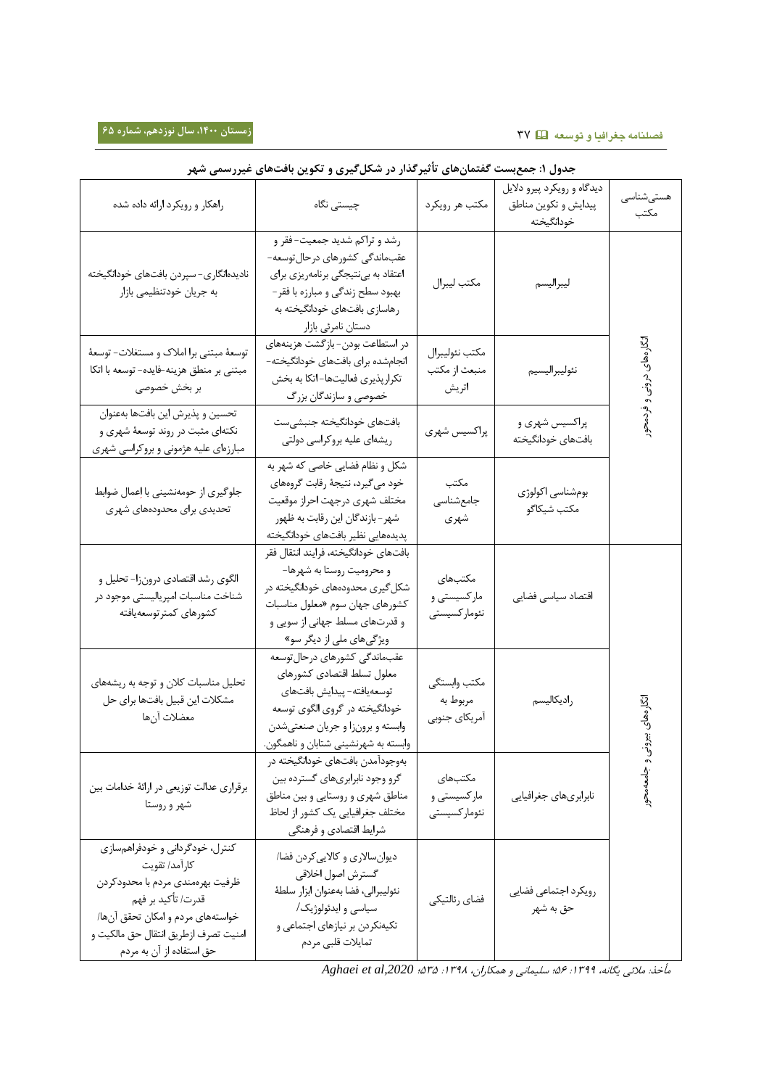# **زمستان ،0011 سال نوزدهم، شماره 65 فصلنامه جغرافیا و توسعه** 02

| جدول ۱: جمع بست گفتمانهای تاتیرگذار در شکلگیری و تکوین بافتهای غیررسمی شهر                                                                                                                                          |                                                                                                                                                                                                                 |                                           |                                                                  |                   |  |  |  |
|---------------------------------------------------------------------------------------------------------------------------------------------------------------------------------------------------------------------|-----------------------------------------------------------------------------------------------------------------------------------------------------------------------------------------------------------------|-------------------------------------------|------------------------------------------------------------------|-------------------|--|--|--|
| راهکار و رویکرد ارائه داده شده                                                                                                                                                                                      | چیستی نگاه                                                                                                                                                                                                      | مكتب هر رويكرد                            | دیدگاه و رویکرد پیرو دلایل<br>پیدایش و تکوین مناطق<br>خودانگيخته | هستىشناسى<br>مكتب |  |  |  |
| نادیدهانگاری- سپردن بافتهای خودانگیخته<br>به جریان خودتنظیمی بازار                                                                                                                                                  | رشد و تراکم شدید جمعیت-فقر و<br>عقب،اندگی کشورهای درحال توسعه-<br>اعتقاد به بینتیجگی برنامهریزی برای<br>بهبود سطح زندگی و مبارزه با فقر –<br>رهاسازی بافتهای خودانگیخته به<br>دستان نامرئي بازار                | مكتب ليبرال                               | ليبراليسم                                                        |                   |  |  |  |
| توسعهٔ مبتنی برا املاک و مستغلات- توسعهٔ<br>مبتنی بر منطق هزینه-فایده- توسعه با اتکا<br>بر بخش خصوصی                                                                                                                | در استطاعت بودن-بازگشت هزینههای<br>انجامشده براى بافتهاى خودانگيخته–<br>تكرار پذيرى فعاليتها–اتكا به بخش<br>خصوصی و سازندگان بزرگ                                                                               | مكتب نئوليبرال<br>منبعث از مكتب<br>اتريش  | نئوليبراليسيم                                                    | انگار مھای درونی  |  |  |  |
| تحسين و پذيرش اين بافتها بهعنوان<br>نکتهای مثبت در روند توسعهٔ شهری و<br>مبارزهای علیه هژمونی و بروکراسی شهری                                                                                                       | بافتهاى خودانگيخته جنبشىست<br>ریشهای علیه بروکراسی دولتی                                                                                                                                                        | پراکسیس شهری                              | پراکسیس شهري و<br>بافتهاى خودانگيخته                             | فردمحو            |  |  |  |
| جلوگیری از حومهنشینی با اِعمال ضوابط<br>تحدیدی برای محدودههای شهری                                                                                                                                                  | شکل و نظام فضایی خاصی که شهر به<br>خود میگیرد، نتیجهٔ رقابت گروههای<br>مختلف شهرى درجهت احراز موقعيت<br>شهر - بازندگان این رقابت به ظهور<br>پدیدههایی نظیر بافتهای خودانگیخته                                   | مكتب<br>جامعشناسى<br>شهري                 | بومشناسي اكولوژي<br>مكتب شيكاگو                                  |                   |  |  |  |
| الگوی رشد اقتصادی درونزا- تحلیل و<br>شناخت مناسبات امپریالیستی موجود در<br>كشورهاى كمترتوسعهيافته                                                                                                                   | بافتهاى خودانگيخته، فرايند انتقال فقر<br>و محرومیت روستا به شهرها-<br>شکل <i>گ</i> یری محدودههای خودانگیخته در<br>كشورهاى جهان سوم «معلول مناسبات<br>و قدرتهای مسلط جهانی از سویی و<br>ویژگیهای ملی از دیگر سو» | مكتبهاى<br>مارکسیستی و<br>نئوماركسيستى    | اقتصاد سياسى فضايى                                               |                   |  |  |  |
| تحلیل مناسبات کلان و توجه به ریشههای<br>مشكلات اين قبيل بافتها براي حل<br>معضلات آنها                                                                                                                               | عقب،اندگی کشورهای درحال توسعه<br>معلول تسلط اقتصادى كشورهاى<br>توسعه يافته- پيدايش بافتهاى<br>خودانگیخته در گروی الگوی توسعه<br>وابسته و برونزا و جریان صنعتیشدن<br>وابسته به شهرنشینی شتابان و ناهمگون         | مكتب وابستگى<br>مربوط به<br>آمريكاي جنوبي | راديكاليسم                                                       | انگارەھاي         |  |  |  |
| برقراري عدالت توزيعي در ارائة خدامات بين<br>شهر و روستا                                                                                                                                                             | بەوجودآمدن بافتھای خودانگیخته در<br>گرو وجود نابرابریهای گسترده بین<br>مناطق شهري و روستايي و بين مناطق<br>مختلف جغرافيايي يک کشور از لحاظ<br>شرایط اقتصادی و فرهنگی                                            | مكتبهاى<br>مارکسیستی و<br>نئوماركسيستى    | نابرابريهاي جغرافيايي                                            | نی و جامعهمحور    |  |  |  |
| کنترل، خودگردانی و خودفراهمسازی<br>كارآمد/ تقويت<br>ظرفيت بهرهمندي مردم با محدودكردن<br>قدرت/ تأكيد بر فهم<br>خواستههای مردم و امکان تحقق آنها/<br>امنيت تصرف ازطريق انتقال حق مالكيت و<br>حق استفاده از آن به مردم | دیوان سالاری و کالایی کردن فضا/<br>گسترش اصول اخلاقى<br>نئوليبرالي، فضا بهعنوان ابزار سلطة<br>سیاسی و ایدئولوژیک/<br>تکیهنکردن بر نیازهای اجتماعی و<br>تمايلات قلبي مردم                                        | فضاي رئالتيكي                             | رويكرد اجتماعي فضايي<br>حق به شهر                                |                   |  |  |  |

مأخذ: مالئی یگانه، :3022 06؛ سلیمانی <sup>و</sup> همکاران، :3022 000؛ *,2020al et Aghaei*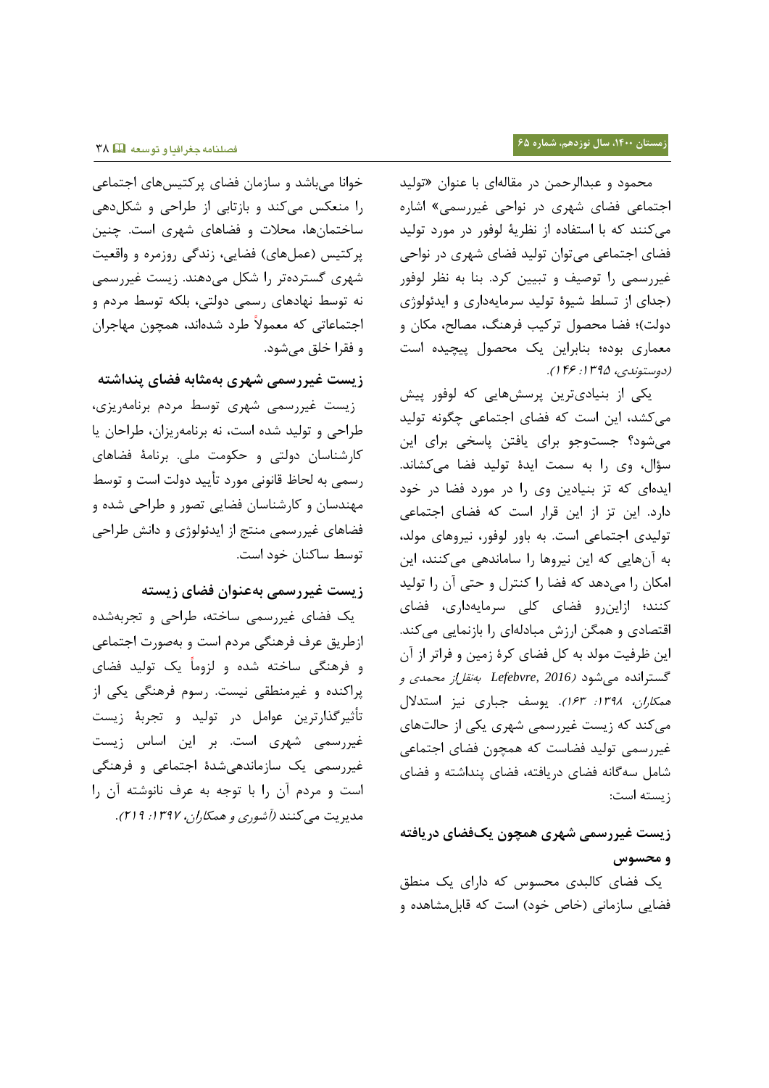محمود و عبدالرحمن در مقالهای با عنوان »تولید اجتماعی فضای شهری در نواحی غیررسمی« اشاره میکنند که با استفاده از نظریۀ لوفور در مورد تولید فضای اجتماعی میتوان تولید فضای شهری در نواحی غیررسمی را توصیف و تبیین کرد. بنا به نظر لوفور )جدای از تسلط شیوۀ تولید سرمایهداری و ایدئولوژی دولت)؛ فضا محصول ترکیب فرهنگ، مصالح، مکان و معماری بوده؛ بنابراین یک محصول پیچیده است (دوستوندی، ۱۳۹۵: ۱۴۶).

یکی از بنیادیترین پرسشهایی که لوفور پیش میکشد، این است که فضای اجتماعی چگونه تولید میشود؟ جستوجو برای یافتن پاسخی برای این سؤال، وی را به سمت ایدۀ تولید فضا میکشاند. ایدهای که تز بنیادین وی را در مورد فضا در خود دارد. این تز از این قرار است که فضای اجتماعی تولیدی اجتماعی است. به باور لوفور، نیروهای مولد، به آنهایی که این نیروها را ساماندهی میکنند، این امکان را میدهد که فضا را کنترل و حتی آن را تولید کنند؛ ازاینرو فضای کلی سرمایهداری، فضای اقتصادی و همگن ارزش مبادلهای را بازنمایی میکند. این ظرفیت مولد به کل فضای کرۀ زمین و فراتر از آن گسترانده میشود )*2016 ,Lefebvre* بهنقلاز محمدی <sup>و</sup> هم*کاران، ١٣٩٨: ١۶٣*). یوسف جباری نیز استدلال میکند که زیست غیررسمی شهری یکی از حالتهای غیررسمی تولید فضاست که همچون فضای اجتماعی شامل سهگانه فضای دریافته، فضای پنداشته و فضای زیسته است:

# **زیست غیررسمی شهری همچون یکفضای دریافته و محسوس**

 یک فضای کالبدی محسوس که دارای یک منطق فضایی سازمانی (خاص خود) است که قابل مشاهده و

خوانا میباشد و سازمان فضای پرکتیسهای اجتماعی را منعکس میکند و بازتابی از طراحی و شکلدهی ساختمانها، محالت و فضاهای شهری است. چنین پرکتیس (عملهای) فضایی، زندگی روزمره و واقعیت شهری گستردهتر را شکل میدهند. زیست غیررسمی نه توسط نهادهای رسمی دولتی، بلکه توسط مردم و اجتماعاتی که معموال طرد شدهاند، همچون مهاجران و فقرا خلق میشود.

**زیست غیررسمی شهری بهمثابه فضای پنداشته** زیست غیررسمی شهری توسط مردم برنامهریزی، طراحی و تولید شده است، نه برنامهریزان، طراحان یا کارشناسان دولتی و حکومت ملی. برنامۀ فضاهای رسمی به لحاظ قانونی مورد تأیید دولت است و توسط مهندسان و کارشناسان فضایی تصور و طراحی شده و فضاهای غیررسمی منتج از ایدئولوژی و دانش طراحی توسط ساکنان خود است.

# **زیست غیررسمی بهعنوان فضای زیسته**

 یک فضای غیررسمی ساخته، طراحی و تجربهشده ازطریق عرف فرهنگی مردم است و بهصورت اجتماعی و فرهنگی ساخته شده و لزوما یک تولید فضای پراکنده و غیرمنطقی نیست. رسوم فرهنگی یکی از تأثیرگذارترین عوامل در تولید و تجربۀ زیست غیررسمی شهری است. بر این اساس زیست غیررسمی یک سازماندهیشدۀ اجتماعی و فرهنگی است و مردم آن را با توجه به عرف نانوشته آن را مدیریت می کنند *(آشوری و همکا<sub>ر</sub>ان، ۱۳۹۷: ۲۱۹*).

## **فصلنامه جغرافیا و توسعه** 02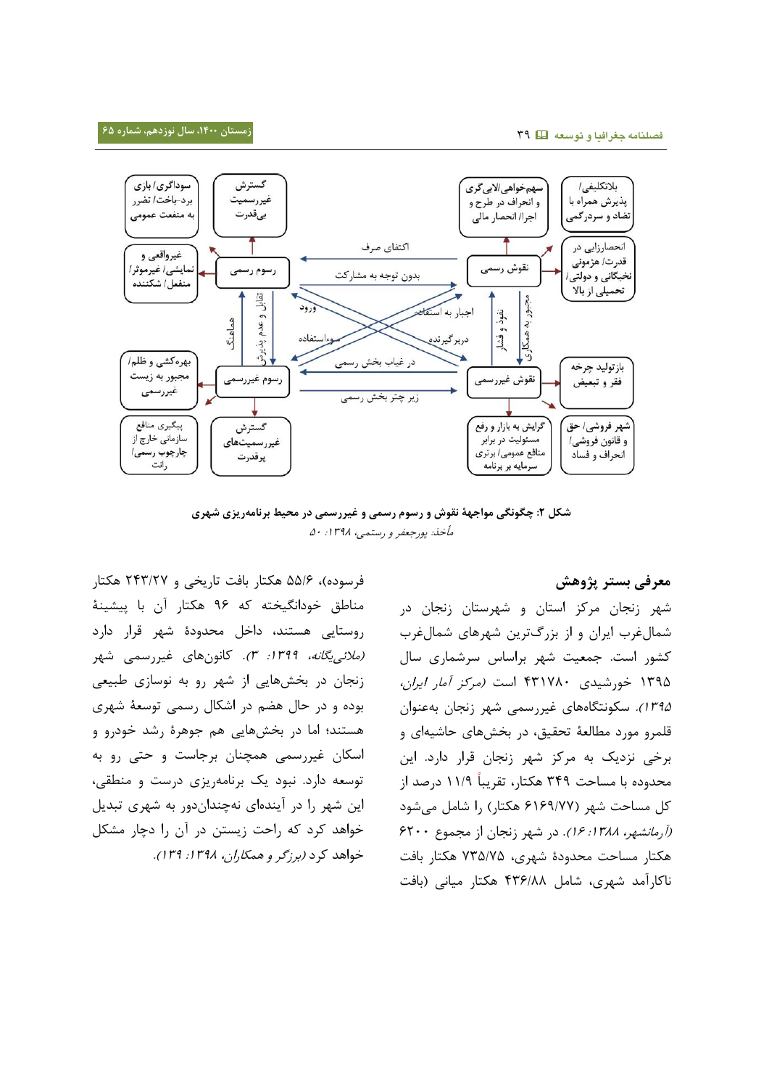**زمستان ،0011 سال نوزدهم، شماره 65 فصلنامه جغرافیا و توسعه** 02



**شکل :5 چگونگی مواجهۀ نقوش و رسوم رسمی و غیررسمی در محیط برنامهریزی شهری** مأخذ: پورجعفر و رستمی، ۱۳۹۸: ۵۰

فرسوده)، ۵۵/۶ هکتار بافت تاریخی و ۲۴۳/۲۷ هکتار مناطق خودانگیخته که 26 هکتار آن با پیشینۀ روستایی هستند، داخل محدودۀ شهر قرار دارد (*ملائی یگانه، ١٣٩٩: ٣).* کانونهای غیررسمی شهر زنجان در بخشهایی از شهر رو به نوسازی طبیعی بوده و در حال هضم در اشکال رسمی توسعۀ شهری هستند؛ اما در بخشهایی هم جوهرۀ رشد خودرو و اسکان غیررسمی همچنان برجاست و حتی رو به توسعه دارد. نبود یک برنامهریزی درست و منطقی، این شهر را در آیندهای نهچنداندور به شهری تبدیل خواهد کرد که راحت زیستن در آن را دچار مشکل خواهد کرد (برزگر و همکاران، ۱۳۹۸: ۱۳۹).

**معرفی بستر پژوهش**

شهر زنجان مرکز استان و شهرستان زنجان در شمالغرب ایران و از بزرگترین شهرهای شمالغرب کشور است. جمعیت شهر براساس سرشماری سال ۱۳۹۵ خورشیدی ۲۳۱۷۸۰ است *(مرکز آمار ایران،* 3020(. سکونتگاههای غیررسمی شهر زنجان بهعنوان قلمرو مورد مطالعۀ تحقیق، در بخشهای حاشیهای و برخی نزدیک به مرکز شهر زنجان قرار دارد. این محدوده با مساحت 022 هکتار، تقریبا 33/2 درصد از کل مساحت شهر )6362/22 هکتار( را شامل میشود (*آرمانشهر، ۱۳۸۸: ۱۶).* در شهر زنجان از مجموع ۶۲۰۰ هکتار مساحت محدودۀ شهری، 200/20 هکتار بافت ناکارآمد شهری، شامل 206/22 هکتار میانی )بافت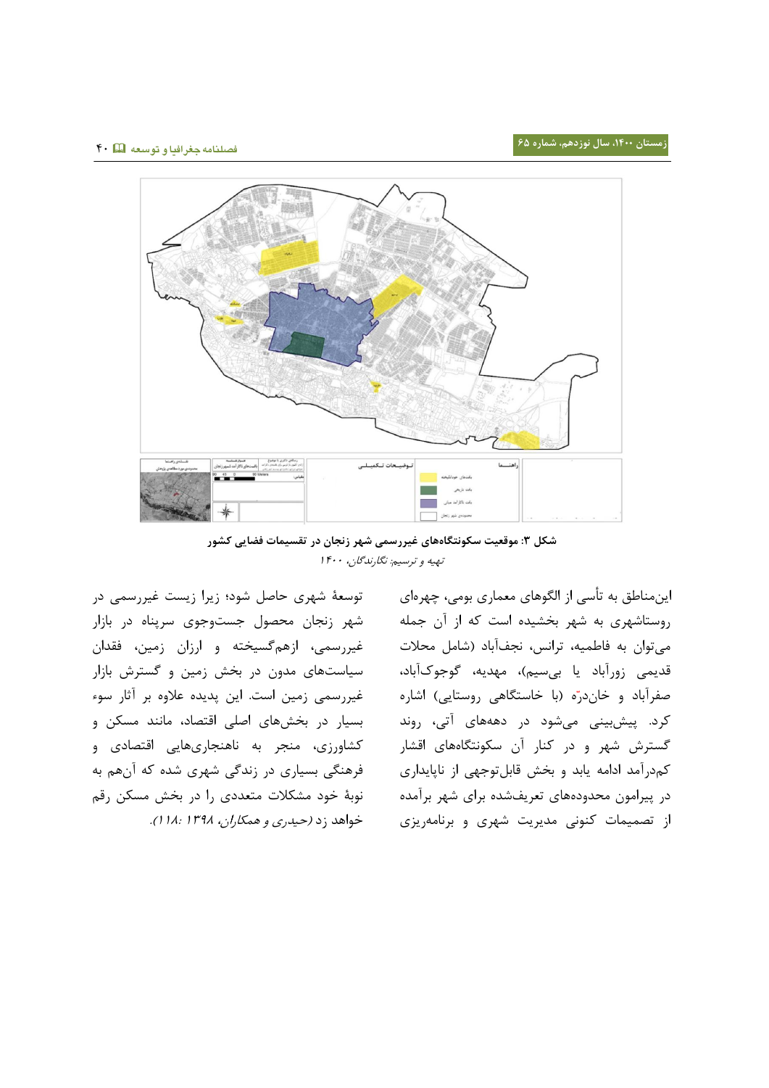

**شکل :3 موقعیت سکونتگاههای غیررسمی شهر زنجان در تقسیمات فضایی کشور** تهیه و ترسیم: نگارندگان، 3255

توسعۀ شهری حاصل شود؛ زیرا زیست غیررسمی در شهر زنجان محصول جستوجوی سرپناه در بازار غیررسمی، ازهمگسیخته و ارزان زمین، فقدان سیاستهای مدون در بخش زمین و گسترش بازار غیررسمی زمین است. این پدیده عالوه بر آثار سوء بسیار در بخشهای اصلی اقتصاد، مانند مسکن و کشاورزی، منجر به ناهنجاریهایی اقتصادی و فرهنگی بسیاری در زندگی شهری شده که آنهم به نوبۀ خود مشکالت متعددی را در بخش مسکن رقم خواهد زد (حیدری و *همکاران، ۱۳۹۸: ۱۸: ۱).* 

اینمناطق به تأسی از الگوهای معماری بومی، چهرهای روستاشهری به شهر بخشیده است که از آن جمله میتوان به فاطمیه، ترانس، نجفآباد )شامل محالت قدیمی زورآباد یا بیسیم)، مهدیه، گوجوکآباد، صفرآباد و خاندرّه (با خاستگاهی روستایی) اشاره کرد. پیشبینی میشود در دهههای آتی، روند گسترش شهر و در کنار آن سکونتگاههای اقشار کمدرآمد ادامه یابد و بخش قابلتوجهی از ناپایداری در پیرامون محدودههای تعریفشده برای شهر برآمده از تصمیمات کنونی مدیریت شهری و برنامهریزی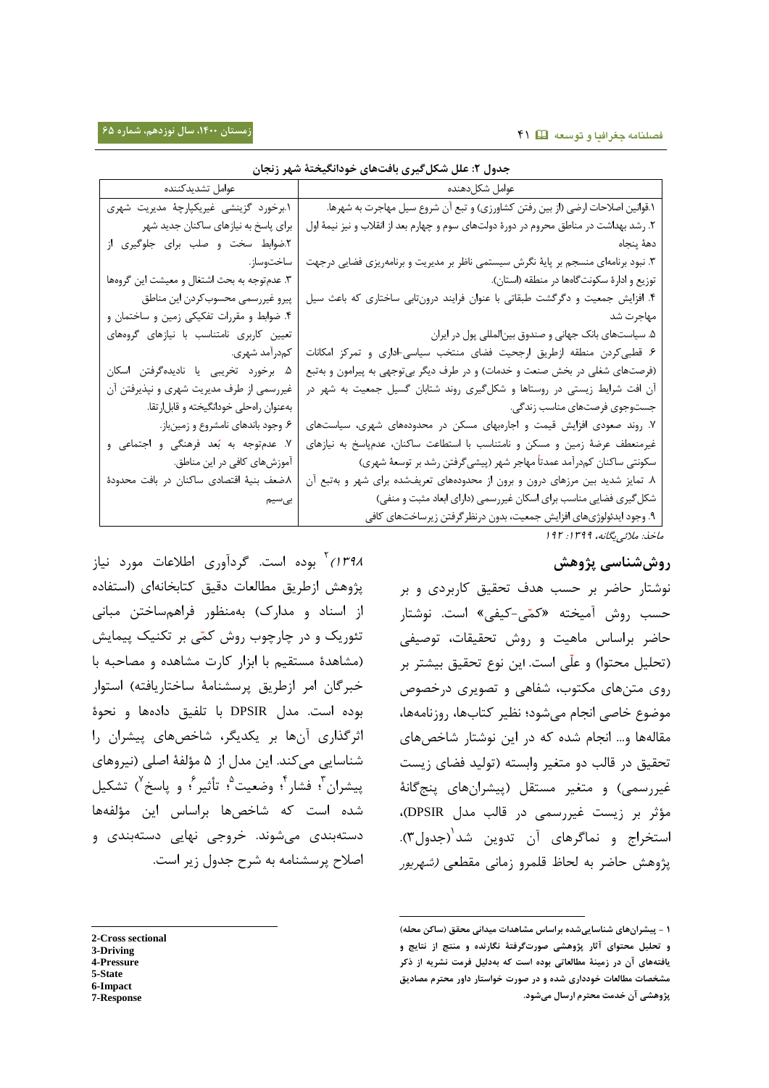| عوامل تشديدكننده                             | عوامل شكل دهنده                                                                         |
|----------------------------------------------|-----------------------------------------------------------------------------------------|
| ١.برخورد گزينشي غيريكپارچۀ مديريت شهري       | ١.قوانین اصلاحات ارضی (از بین رفتن کشاورزی) و تبع آن شروع سیل مهاجرت به شهرها.          |
| برای پاسخ به نیازهای ساکنان جدید شهر         | ۲. رشد بهداشت در مناطق محروم در دورهٔ دولتهای سوم و چهارم بعد از انقلاب و نیز نیمهٔ اول |
| ٢.ضوابط سخت و صلب برای جلوگیری از            | دههٔ پنجاه                                                                              |
| ساختوساز.                                    | ۳. نبود برنامهای منسجم بر پایهٔ نگرش سیستمی ناظر بر مدیریت و برنامهریزی فضایی درجهت     |
| ۳. عدم توجه به بحث اشتغال و معیشت این گروهها | توزيع و ادارهٔ سكونت گاهها در منطقه (استان).                                            |
| پیرو غیررسمی محسوب کردن این مناطق            | ۴. افزایش جمعیت و دگرگشت طبقاتی با عنوان فرایند درونتابی ساختاری که باعث سیل            |
| ۴. ضوابط و مقررات تفکیکی زمین و ساختمان و    | مهاجرت شد                                                                               |
| تعیین کاربری نامتناسب با نیازهای گروههای     | ۵. سیاستهای بانک جهانی و صندوق بینالمللی پول در ایران                                   |
| کمدرآمد شهري.                                | ۶. قطبی کردن منطقه ازطریق ارجحیت فضای منتخب سیاسی-اداری و تمرکز امکانات                 |
| ۵. برخورد تخریبی یا نادیدهگرفتن اسکان        | (فرصتهای شغلی در بخش صنعت و خدمات) و در طرف دیگر بیتوجهی به پیرامون و بهتبع             |
| غیررسمی از طرف مدیریت شهری و نپذیرفتن آن     | آن افت شرایط زیستی در روستاها و شکلگیری روند شتابان گسیل جمعیت به شهر در                |
| بهعنوان راهحلي خودانگيخته و قابلارتقا.       | جستوجوی فرصتهای مناسب زندگی.                                                            |
| ۶. وجود باندهای نامشروع و زمینباز.           | ۷. روند صعودی افزایش قیمت و اجارهبهای مسکن در محدودههای شهری، سیاستهای                  |
| ۷. عدم وجه به بُعد فرهنگی و اجتماعی و        | غیرمنعطف عرضهٔ زمین و مسکن و نامتناسب با استطاعت ساکنان، عدمپاسخ به نیازهای             |
| آموزشهای کافی در این مناطق.                  | سکونتی ساکنان کمدرآمد عمدتاً مهاجر شهر (پیشیگرفتن رشد بر توسعهٔ شهری)                   |
| ٨.ضعف بنية اقتصادي ساكنان در بافت محدودة     | ۸. تمایز شدید بین مرزهای درون و برون از محدودههای تعریفشده برای شهر و بهتبع آن          |
| بىسيم                                        | شکل گیری فضایی مناسب برای اسکان غیررسمی (دارای ابعاد مثبت و منفی)                       |
|                                              | ۹. وجود ايدئولوژيهاي افزايش جمعيت، بدون درنظر گرفتن زيرساختهاي كافي                     |
|                                              | ماخذ: ملائي پگانه، ١٣٩٩: ١٩٢                                                            |

-

## **جدول :5 علل شکلگیری بافتهای خودانگیختۀ شهر زنجان**

# **روششناسی پژوهش**

نوشتار حاضر بر حسب هدف تحقیق کاربردی و بر حسب روش آمیخته «کمّی-کیفی» است. نوشتار حاضر براساس ماهیت و روش تحقیقات، توصیفی (تحلیل محتوا) و علّی است. این نوع تحقیق بیشتر بر روی متنهای مکتوب، شفاهی و تصویری درخصوص موضوع خاصی انجام میشود؛ نظیر کتابها، روزنامهها، مقالهها و... انجام شده که در این نوشتار شاخصهای تحقیق در قالب دو متغیر وابسته )تولید فضای زیست غیررسمی) و متغیر مستقل (پیشرانهای پنجگانۀ مؤثر بر زیست غیررسمی در قالب مدل DPSIR)، استخراج و نماگرهای آن تدوین شد<sup>۱</sup>(جدول۳). پژوهش حاضر به لحاظ قلمرو زمانی مقطعی *(شهریور* 

*۱۳۹۸)* بوده است. گردآوری اطلاعات مورد نیاز پژوهش ازطریق مطالعات دقیق کتابخانهای )استفاده از اسناد و مدارک) بهمنظور فراهمساختن مبانی تئوریک و در چارچوب روش کمّی بر تکنیک پیمایش )مشاهدۀ مستقیم با ابزار کارت مشاهده و مصاحبه با خبرگان امر ازطریق پرسشنامۀ ساختاریافته( استوار بوده است. مدل DPSIR با تلفیق دادهها و نحوۀ اثرگذاری آنها بر یکدیگر، شاخصهای پیشران را شناسایی میکند. این مدل از 0 مؤلفۀ اصلی )نیروهای پیشران <sup>؟</sup>؛ فشار <sup>؟</sup>؛ وضعیت ۠؛ تأثیر ً؛ و پاسخ ٰ) تشکیل شده است که شاخصها براساس این مؤلفهها دستهبندی میشوند. خروجی نهایی دستهبندی و اصالح پرسشنامه به شرح جدول زیر است.

- **3-Driving**
- **4-Pressure**
- **5-State**
- **6-Impact 7-Response**

**<sup>0</sup> - پیشرانهای شناساییشده براساس مشاهدات میدانی محقق )ساکن محله( و تحلیل محتوای آثار پژوهشی صورتگرفتۀ نگارنده و منتج از نتایج و یافتههای آن در زمینۀ مطالعاتی بوده است که بهدلیل فرمت نشریه از ذکر مشخصات مطالعات خودداری شده و در صورت خواستار داور محترم مصادیق پژوهشی آن خدمت محترم ارسال میشود.**

l **2-Cross sectional**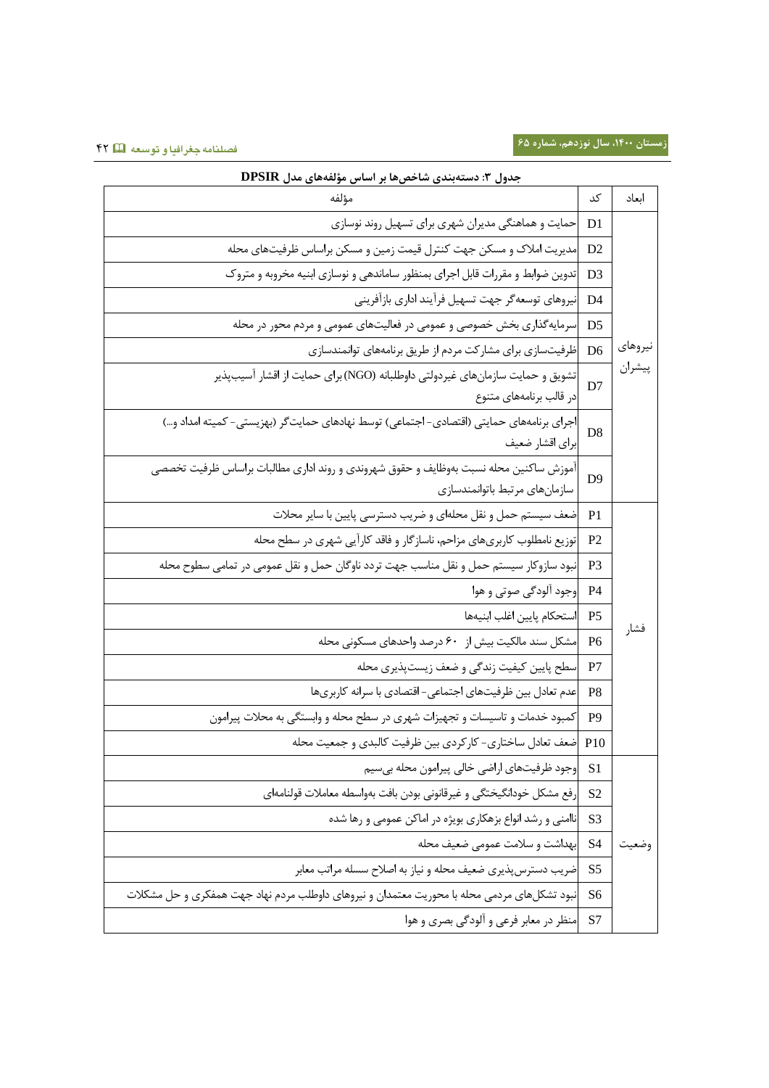| جدول ۳: دستهبندی شاخصها بر اساس مؤلفههای مدل DPSIR                                                                     |                                   |         |  |  |  |  |
|------------------------------------------------------------------------------------------------------------------------|-----------------------------------|---------|--|--|--|--|
| مؤلفه                                                                                                                  | کد                                | ابعاد   |  |  |  |  |
| حمایت و هماهنگی مدیران شهری برای تسهیل روند نوسازی                                                                     | D1                                |         |  |  |  |  |
| مدیریت املاک و مسکن جهت کنترل قیمت زمین و مسکن براساس ظرفیتهای محله                                                    | D <sub>2</sub>                    |         |  |  |  |  |
| تدوین ضوابط و مقررات قابل اجرای بمنظور ساماندهی و نوسازی ابنیه مخروبه و متروک                                          | D <sub>3</sub>                    |         |  |  |  |  |
| نيروهاي توسعهگر جهت تسهيل فرآيند اداري بازآفريني                                                                       | D4                                |         |  |  |  |  |
| سرمایهگذاری بخش خصوصی و عمومی در فعالیتهای عمومی و مردم محور در محله                                                   | D5                                |         |  |  |  |  |
| ظرفیتسازی برای مشارکت مردم از طریق برنامههای توانمندسازی                                                               | D <sub>6</sub>                    | نيروهاى |  |  |  |  |
| تشویق و حمایت سازمانهای غیردولتی داوطلبانه (NGO) برای حمایت از اقشار آسیبپذیر<br>در قالب برنامههای متنوع               | D7                                | پيشران  |  |  |  |  |
| اجرای برنامههای حمایتی (اقتصادی– اجتماعی) توسط نهادهای حمایتگر (بهزیستی– کمیته امداد و…)                               | D <sub>8</sub><br>براي اقشار ضعيف |         |  |  |  |  |
| آموزش ساكنين محله نسبت بهوظايف و حقوق شهروندى و روند ادارى مطالبات براساس ظرفيت تخصصى<br>سازمانهاى مرتبط باتوانمندسازى | D <sup>9</sup>                    |         |  |  |  |  |
| ضعف سیستم حمل و نقل محلهای و ضریب دسترسی پایین با سایر محلات                                                           | P <sub>1</sub>                    |         |  |  |  |  |
| توزیع نامطلوب کاربریهای مزاحم، ناسازگار و فاقد کارآیی شهری در سطح محله                                                 | P <sub>2</sub>                    |         |  |  |  |  |
| نبود سازوکار سیستم حمل و نقل مناسب جهت تردد ناوگان حمل و نقل عمومی در تمامی سطوح محله                                  | P <sub>3</sub>                    |         |  |  |  |  |
| وجود آلودگی صوتی و هوا                                                                                                 | P <sub>4</sub>                    |         |  |  |  |  |
| استحكام پايين اغلب ابنيهها                                                                                             | P <sub>5</sub>                    |         |  |  |  |  |
| مشکل سند مالکیت بیش از ۶۰ درصد واحدهای مسکونی محله                                                                     | P <sub>6</sub>                    | فشار    |  |  |  |  |
| سطح پایین کیفیت زندگی و ضعف زیستپذیری محله                                                                             | P7                                |         |  |  |  |  |
| عدم تعادل بین ظرفیتهای اجتماعی- اقتصادی با سرانه کاربریها                                                              | P8                                |         |  |  |  |  |
| کمبود خدمات و تاسیسات و تجهیزات شهری در سطح محله و وابستگی به محلات پیرامون                                            | P <sub>9</sub>                    |         |  |  |  |  |
| ضعف تعادل ساختاري- كاركردي بين ظرفيت كالبدي و جمعيت محله                                                               | P10                               |         |  |  |  |  |
| وجود ظرفيتهاى اراضى خالى پيرامون محله بىسيم                                                                            | S <sub>1</sub>                    |         |  |  |  |  |
| رفع مشكل خودانگيختگي و غيرقانوني بودن بافت بهواسطه معاملات قولنامهاي                                                   | S <sub>2</sub>                    |         |  |  |  |  |
| ناامنی و رشد انواع بزهکاری بویژه در اماکن عمومی و رها شده                                                              | S3                                |         |  |  |  |  |
| بهداشت و سلامت عمومی ضعیف محله                                                                                         | S <sub>4</sub>                    | وضعيت   |  |  |  |  |
| ضریب دسترس پذیری ضعیف محله و نیاز به اصلاح سسله مراتب معابر                                                            | S <sub>5</sub>                    |         |  |  |  |  |
| نبود تشکلهای مردمی محله با محوریت معتمدان و نیروهای داوطلب مردم نهاد جهت همفکری و حل مشکلات                            | S <sub>6</sub>                    |         |  |  |  |  |
| منظر در معابر فرعی و آلودگی بصری و هوا                                                                                 | S7                                |         |  |  |  |  |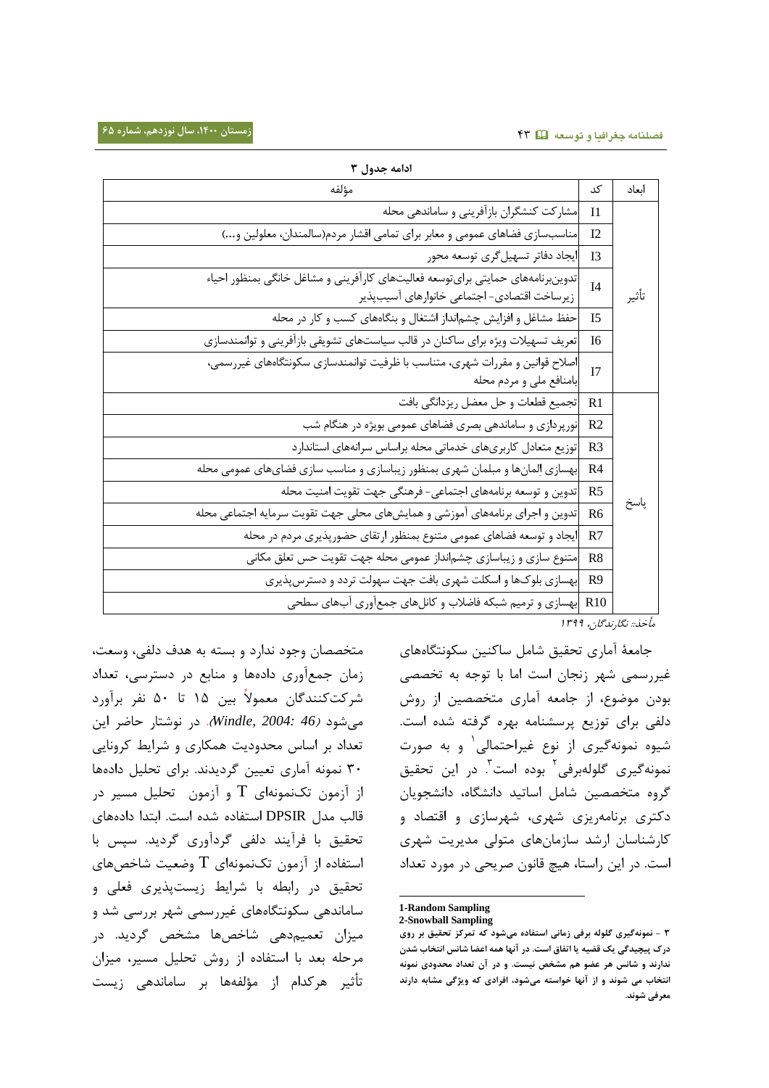| ادامه جدول ۲                                                                                                                  |                |       |
|-------------------------------------------------------------------------------------------------------------------------------|----------------|-------|
| مؤلفه                                                                                                                         | کد             | اىعاد |
| مشارکت کنشگران بازآفرینی و ساماندهی محله                                                                                      | 11             |       |
| مناسبسازي فضاهاي عمومي و معابر براي تمامي اقشار مردم(سالمندان، معلولين و)                                                     | 12             |       |
| ايجاد دفاتر تسهيل گرى توسعه محور                                                                                              | I <sub>3</sub> |       |
| تدوین رنامههای حمایتی برایتوسعه فعالیتهای کارآفرینی و مشاغل خانگی بمنظور احیاء<br>زيرساخت اقتصادى- اجتماعي خانوارهاى آسيبپذير | I <sub>4</sub> | تأثير |
| حفظ مشاغل و افزایش چشم نداز اشتغال و بنگاههای کسب و کار در محله                                                               | 15             |       |
| تعریف تسهیلات ویژه برای ساکنان در قالب سیاستهای تشویقی بازآفرینی و توانمندسازی                                                | I6             |       |
| اصلاح قوانین و مقررات شهری، متناسب با ظرفیت توانمندسازی سکونتگاههای غیررسمی،<br>بامنافع ملي و مردم محله                       | I7             |       |
| تجميع قطعات و حل معضل ريزدانگي بافت                                                                                           | R1             |       |
| نورپردازی و ساماندهی بصری فضاهای عمومی بویژه در هنگام شب                                                                      | R <sub>2</sub> |       |
| توزيع متعادل كاربرىهاى خدماتي محله براساس سرانههاى استاندارد                                                                  | R <sub>3</sub> |       |
| بهسازي إلمانها و مبلمان شهري بمنظور زيباسازي و مناسب سازي فضايهاي عمومي محله                                                  | R4             |       |
| تدوین و توسعه برنامههای اجتماعی- فرهنگی جهت تقویت امنیت محله                                                                  | R <sub>5</sub> |       |
| تدوین و اجرای برنامههای آموزشی و همایشهای محلی جهت تقویت سرمایه اجتماعی محله                                                  | R <sub>6</sub> | پاسخ  |
| ایجاد و توسعه فضاهای عمومی متنوع بمنظور ارتقای حضورپذیری مردم در محله                                                         | R7             |       |
| متنوع سازی و زیباسازی چشم نداز عمومی محله جهت تقویت حس تعلق مکانی                                                             | R <sub>8</sub> |       |
| بهسازی بلوکها و اسکلت شهری بافت جهت سهولت تردد و دسترسپذیری                                                                   | R9             |       |
| R10  بهسازی و ترمیم شبکه فاضلاب و کانلهای جمعآوری آبهای سطحی                                                                  |                |       |

مأخذ:: نگارندگان، <sup>3022</sup>

جامعۀ آماری تحقیق شامل ساکنین سکونتگاههای غیررسمی شهر زنجان است اما با توجه به تخصصی بودن موضوع، از جامعه آماری متخصصین از روش دلفی برای توزیع پرسشنامه بهره گرفته شده است. 3 شیوه نمونهگیری از نوع غیراحتمالی و به صورت نمونهگیری گلولهبرفی<sup>۲</sup> بوده است<sup>۳</sup>. در این تحقیق گروه متخصصین شامل اساتید دانشگاه، دانشجویان دکتری برنامهریزی شهری، شهرسازی و اقتصاد و کارشناسان ارشد سازمانهای متولی مدیریت شهری است. در این راستا، هیچ قانون صریحی در مورد تعداد

1

متخصصان وجود ندارد و بسته به هدف دلفی، وسعت، زمان جمعآوری دادهها و منابع در دسترسی، تعداد شرکتکنندگان معموال بین 30 تا 05 نفر برآورد میشود )*46 2004: ,Windle*). در نوشتار حاضر این تعداد بر اساس محدودیت همکاری و شرایط کرونایی 05 نمونه آماری تعیین گردیدند. برای تحلیل دادهها از آزمون تکنمونهای T و آزمون تحلیل مسیر در قالب مدل DPSIR استفاده شده است. ابتدا دادههای تحقیق با فرآیند دلفی گردآوری گردید. سپس با استفاده از آزمون تکنمونهای  $\rm T$  وضعیت شاخصهای تحقیق در رابطه با شرایط زیستپذیری فعلی و ساماندهی سکونتگاههای غیررسمی شهر بررسی شد و میزان تعمیمدهی شاخصها مشخص گردید. در مرحله بعد با استفاده از روش تحلیل مسیر، میزان تأثیر هرکدام از مؤلفهها بر ساماندهی زیست

**<sup>1-</sup>Random Sampling 2-Snowball Sampling**

**<sup>3</sup> - نمونهگیری گلوله برفی زمانی استفاده میشود که تمرکز تحقیق بر روی درک پیچیدگی یک قضیه یا اتفاق است. در آنها همه اعضا شانس انتخاب شدن ندارند و شانس هر عضو هم مشخص نیست. و در آن تعداد محدودی نمونه انتخاب می شوند و از آنها خواسته میشود، افرادی که ویژگی مشابه دارند معرفی شوند.**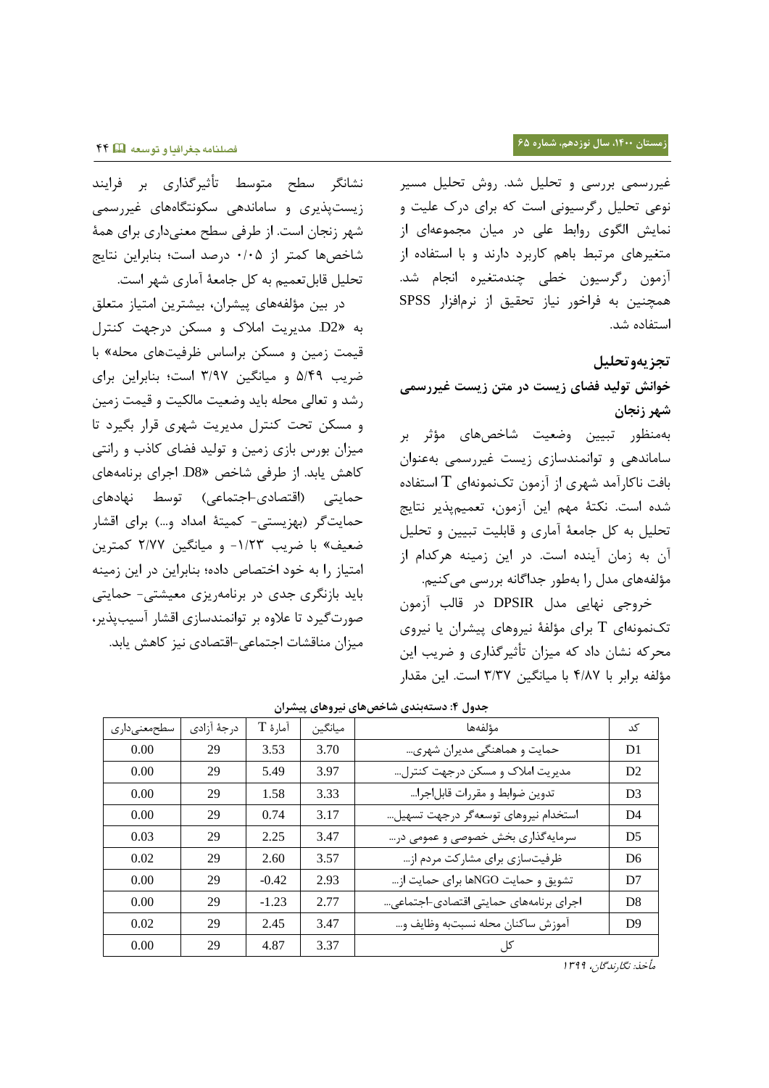نشانگر سطح متوسط تأثیرگذاری بر فرایند زیستپذیری و ساماندهی سکونتگاههای غیررسمی شهر زنجان است. از طرفی سطح معنیداری برای همۀ شاخصها کمتر از 5/50 درصد است؛ بنابراین نتایج تحلیل قابلتعمیم به کل جامعۀ آماری شهر است.

در بین مؤلفههای پیشران، بیشترین امتیاز متعلق به »2D. مدیریت امالک و مسکن درجهت کنترل قیمت زمین و مسکن براساس ظرفیتهای محله« با ضریب 0/22 و میانگین 0/22 است؛ بنابراین برای رشد و تعالی محله باید وضعیت مالکیت و قیمت زمین و مسکن تحت کنترل مدیریت شهری قرار بگیرد تا میزان بورس بازی زمین و تولید فضای کاذب و رانتی کاهش یابد. از طرفی شاخص »8D. اجرای برنامههای حمایتی )اقتصادی-اجتماعی( توسط نهادهای حمایتگر )بهزیستی- کمیتۀ امداد و...( برای اقشار ضعیف« با ضریب -3/70 و میانگین 7/22 کمترین امتیاز را به خود اختصاص داده؛ بنابراین در این زمینه باید بازنگری جدی در برنامهریزی معیشتی- حمایتی صورتگیرد تا عالوه بر توانمندسازی اقشار آسیبپذیر، میزان مناقشات اجتماعی-اقتصادی نیز کاهش یابد. غیررسمی بررسی و تحلیل شد. روش تحلیل مسیر نوعی تحلیل رگرسیونی است که برای درک علیت و نمایش الگوی روابط علی در میان مجموعهای از متغیرهای مرتبط باهم کاربرد دارند و با استفاده از آزمون رگرسیون خطی چندمتغیره انجام شد. همچنین به فراخور نیاز تحقیق از نرمافزار SPSS استفاده شد.

## **تجزیهوتحلیل**

**خوانش تولید فضای زیست در متن زیست غیررسمی شهر زنجان**

بهمنظور تبیین وضعیت شاخصهای مؤثر بر ساماندهی و توانمندسازی زیست غیررسمی بهعنوان بافت ناکارآمد شهری از آزمون تکنمونهای  $\rm T$  استفاده شده است. نکتۀ مهم این آزمون، تعمیمپذیر نتایج تحلیل به کل جامعۀ آماری و قابلیت تبیین و تحلیل آن به زمان آینده است. در این زمینه هرکدام از مؤلفههای مدل را بهطور جداگانه بررسی میکنیم.

خروجی نهایی مدل DPSIR در قالب آزمون تکنمونهای T برای مؤلفۀ نیروهای پیشران یا نیروی محرکه نشان داد که میزان تأثیرگذاری و ضریب این مؤلفه برابر با 2/22 با میانگین 0/02 است. این مقدار

| سطحمعنىدارى | درجهٔ آزادی | آمارهٔ T | ميانگين | مؤلفهها                                | کد             |
|-------------|-------------|----------|---------|----------------------------------------|----------------|
| 0.00        | 29          | 3.53     | 3.70    | حمایت و هماهنگی مدیران شهری            | D1             |
| 0.00        | 29          | 5.49     | 3.97    | مدیریت املاک و مسکن درجهت کنترل        | D <sub>2</sub> |
| 0.00        | 29          | 1.58     | 3.33    | تدوين ضوابط و مقررات قابل جرا          | D <sub>3</sub> |
| 0.00        | 29          | 0.74     | 3.17    | استخدام نيروهاي توسعهگر درجهت تسهيل    | D <sub>4</sub> |
| 0.03        | 29          | 2.25     | 3.47    | سرمایهگذاری بخش خصوصی و عمومی در…      | D <sub>5</sub> |
| 0.02        | 29          | 2.60     | 3.57    | ظرفیتسازی برای مشارکت مردم از          | D <sub>6</sub> |
| 0.00        | 29          | $-0.42$  | 2.93    | تشويق و حمايت NGOها براي حمايت از      | D7             |
| 0.00        | 29          | $-1.23$  | 2.77    | اجرای برنامههای حمایتی اقتصادی-اجتماعی | D <sub>8</sub> |
| 0.02        | 29          | 2.45     | 3.47    | آموزش ساكنان محله نسبتبه وظايف و…      | D <sup>9</sup> |
| 0.00        | 29          | 4.87     | 3.37    | کل ِ                                   |                |

**جدول :0 دستهبندی شاخصهای نیروهای پیشران**

مأخذ: نگارندگان، <sup>3022</sup>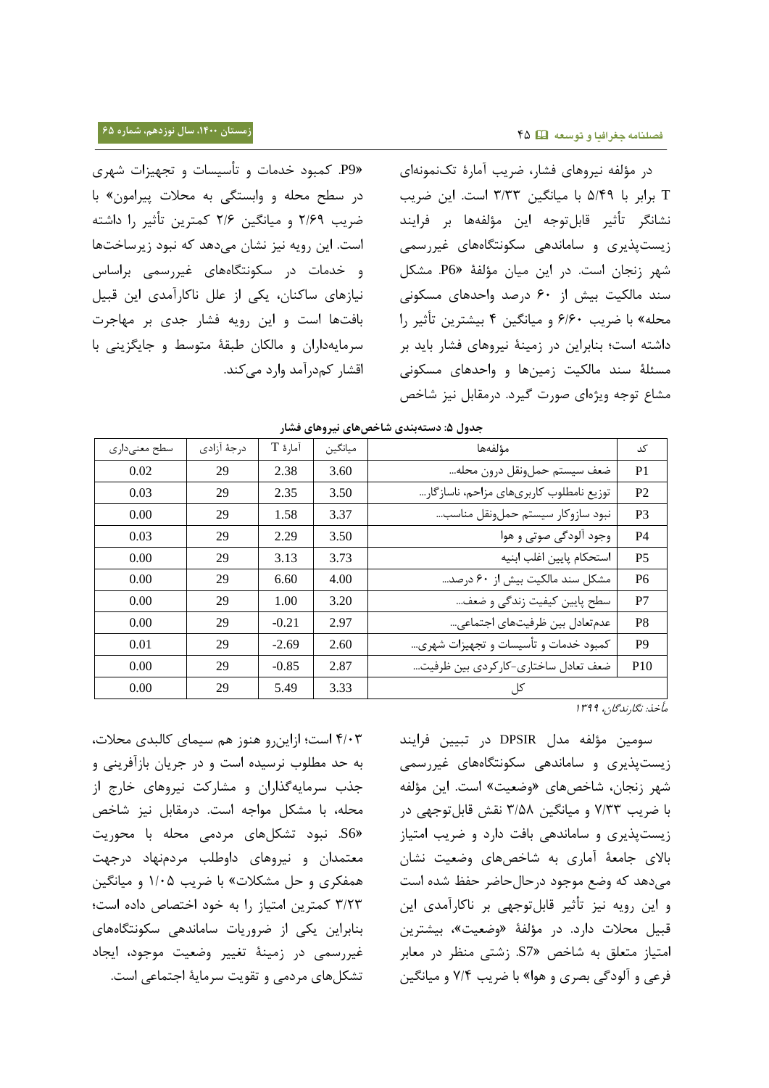»9P. کمبود خدمات و تأسیسات و تجهیزات شهری در سطح محله و وابستگی به محالت پیرامون« با ضریب 7/62 و میانگین 7/6 کمترین تأثیر را داشته است. این رویه نیز نشان میدهد که نبود زیرساختها و خدمات در سکونتگاههای غیررسمی براساس نیازهای ساکنان، یکی از علل ناکارآمدی این قبیل بافتها است و این رویه فشار جدی بر مهاجرت سرمایهداران و مالکان طبقۀ متوسط و جایگزینی با اقشار کمدرآمد وارد میکند.

در مؤلفه نیروهای فشار، ضریب آمارۀ تکنمونهای T برابر با 0/22 با میانگین 0/00 است. این ضریب نشانگر تأثیر قابلتوجه این مؤلفهها بر فرایند زیستپذیری و ساماندهی سکونتگاههای غیررسمی شهر زنجان است. در این میان مؤلفۀ »6P. مشکل سند مالکیت بیش از 65 درصد واحدهای مسکونی محله« با ضریب 6/65 و میانگین 2 بیشترین تأثیر را داشته است؛ بنابراین در زمینۀ نیروهای فشار باید بر مسئلۀ سند مالکیت زمینها و واحدهای مسکونی مشاع توجه ویژهای صورت گیرد. درمقابل نیز شاخص

| ־ט״־ט <i>ייתר</i> ״ט −‴- |             |          |         |                                         |                 |  |  |
|--------------------------|-------------|----------|---------|-----------------------------------------|-----------------|--|--|
| سطح معنىدارى             | درجهٔ آزادی | آمارهٔ T | ميانگين | مؤلفهها                                 | کد              |  |  |
| 0.02                     | 29          | 2.38     | 3.60    | ضعف سيستم حملونقل درون محله             | P <sub>1</sub>  |  |  |
| 0.03                     | 29          | 2.35     | 3.50    | توزيع نامطلوب كاربرىهاى مزاحم، ناسازگار | P <sub>2</sub>  |  |  |
| 0.00                     | 29          | 1.58     | 3.37    | نبود سازوكار سيستم حملونقل مناسب        | P <sub>3</sub>  |  |  |
| 0.03                     | 29          | 2.29     | 3.50    | وجود آلودگی صوتی و هوا                  | P <sub>4</sub>  |  |  |
| 0.00                     | 29          | 3.13     | 3.73    | استحكام پايين اغلب ابنيه                | P <sub>5</sub>  |  |  |
| 0.00                     | 29          | 6.60     | 4.00    | مشكل سند مالكيت بيش از ۶۰ درصد          | P <sub>6</sub>  |  |  |
| 0.00                     | 29          | 1.00     | 3.20    | سطح پایین کیفیت زندگی و ضعف…            | P7              |  |  |
| 0.00                     | 29          | $-0.21$  | 2.97    | عدم تعادل بين ظرفيتهاى اجتماعي          | P <sub>8</sub>  |  |  |
| 0.01                     | 29          | $-2.69$  | 2.60    | کمبود خدمات و تأسیسات و تجهیزات شهری    | P <sub>9</sub>  |  |  |
| 0.00                     | 29          | $-0.85$  | 2.87    | ضعف تعادل ساختاري-كاركردي بين ظرفيت     | P <sub>10</sub> |  |  |
| 0.00                     | 29          | 5.49     | 3.33    | کل ِ                                    |                 |  |  |

|  | جدول ۵: دستهبندی شاخصهای نیروهای فشار |  |
|--|---------------------------------------|--|
|--|---------------------------------------|--|

مأخذ: نگارندگان، <sup>3022</sup>

سومین مؤلفه مدل DPSIR در تبیین فرایند زیستپذیری و ساماندهی سکونتگاههای غیررسمی شهر زنجان، شاخصهای »وضعیت« است. این مؤلفه با ضریب 2/00 و میانگین 0/02 نقش قابلتوجهی در زیستپذیری و ساماندهی بافت دارد و ضریب امتیاز باالی جامعۀ آماری به شاخصهای وضعیت نشان میدهد که وضع موجود درحالحاضر حفظ شده است و این رویه نیز تأثیر قابلتوجهی بر ناکارآمدی این قبیل محالت دارد. در مؤلفۀ »وضعیت«، بیشترین امتیاز متعلق به شاخص »7S. زشتی منظر در معابر فرعی و آلودگی بصری و هوا« با ضریب 2/2 و میانگین

2/50 است؛ ازاینرو هنوز هم سیمای کالبدی محالت، به حد مطلوب نرسیده است و در جریان بازآفرینی و جذب سرمایهگذاران و مشارکت نیروهای خارج از محله، با مشکل مواجه است. درمقابل نیز شاخص »6S. نبود تشکلهای مردمی محله با محوریت معتمدان و نیروهای داوطلب مردمنهاد درجهت همفکری و حل مشکالت« با ضریب 3/50 و میانگین 0/70 کمترین امتیاز را به خود اختصاص داده است؛ بنابراین یکی از ضروریات ساماندهی سکونتگاههای غیررسمی در زمینۀ تغییر وضعیت موجود، ایجاد تشکلهای مردمی و تقویت سرمایۀ اجتماعی است.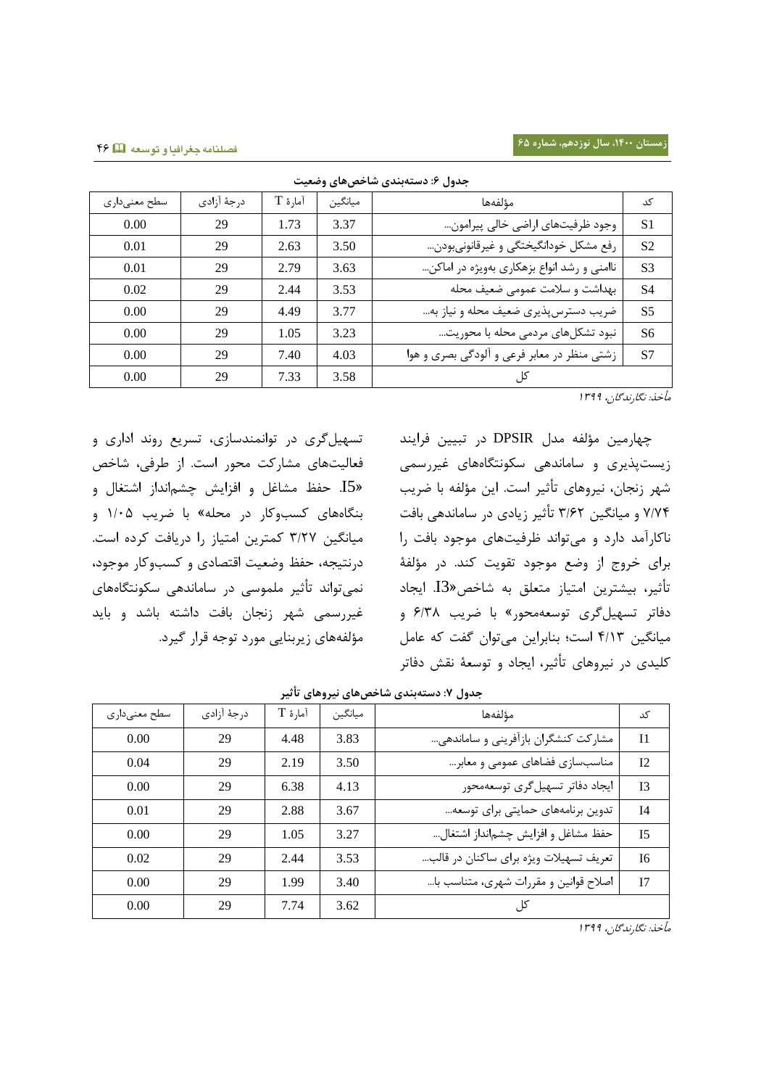| جدول ۳: دستهبندي ساحص هاي وصعيت |             |         |         |                                             |                |  |  |  |
|---------------------------------|-------------|---------|---------|---------------------------------------------|----------------|--|--|--|
| سطح معنىدارى                    | درجهٔ آزادی | آمارۂ T | ميانگين | مؤلفهها                                     | کد             |  |  |  |
| 0.00                            | 29          | 1.73    | 3.37    | وجود ظرفیتهای اراضی خالی پیرامون            | S <sub>1</sub> |  |  |  |
| 0.01                            | 29          | 2.63    | 3.50    | رفع مشكل خودانگيختگي و غيرقانونيبودن        | S <sub>2</sub> |  |  |  |
| 0.01                            | 29          | 2.79    | 3.63    | ناامنی و رشد انواع بزهکاری بهویژه در اماکن  | S <sub>3</sub> |  |  |  |
| 0.02                            | 29          | 2.44    | 3.53    | بهداشت و سلامت عمومی ضعیف محله              | S <sub>4</sub> |  |  |  |
| 0.00                            | 29          | 4.49    | 3.77    | ضریب دسترس پذیری ضعیف محله و نیاز به        | S <sub>5</sub> |  |  |  |
| 0.00                            | 29          | 1.05    | 3.23    | نبود تشکلهای مردمی محله با محوریت           | S <sub>6</sub> |  |  |  |
| 0.00                            | 29          | 7.40    | 4.03    | زشتی منظر در معابر فرعی و آلودگی بصری و هوا | S7             |  |  |  |
| 0.00                            | 29          | 7.33    | 3.58    |                                             |                |  |  |  |

**جدول :6 دستهبندی شاخصهای وضعیت**

مأخذ: نگارندگان، <sup>3022</sup>

چهارمین مؤلفه مدل DPSIR در تبیین فرایند زیستپذیری و ساماندهی سکونتگاههای غیررسمی شهر زنجان، نیروهای تأثیر است. این مؤلفه با ضریب 2/22 و میانگین 0/67 تأثیر زیادی در ساماندهی بافت ناکارآمد دارد و میتواند ظرفیتهای موجود بافت را برای خروج از وضع موجود تقویت کند. در مؤلفۀ تأثیر، بیشترین امتیاز متعلق به شاخص»3I. ایجاد دفاتر تسهیلگری توسعهمحور« با ضریب 6/02 و میانگین 2/30 است؛ بنابراین میتوان گفت که عامل کلیدی در نیروهای تأثیر، ایجاد و توسعۀ نقش دفاتر

تسهیلگری در توانمندسازی، تسریع روند اداری و فعالیتهای مشارکت محور است. از طرفی، شاخص »5I. حفظ مشاغل و افزایش چشمانداز اشتغال و بنگاههای کسبوکار در محله« با ضریب 3/50 و میانگین 0/72 کمترین امتیاز را دریافت کرده است. درنتیجه، حفظ وضعیت اقتصادی و کسبوکار موجود، نمیتواند تأثیر ملموسی در ساماندهی سکونتگاههای غیررسمی شهر زنجان بافت داشته باشد و باید مؤلفههای زیربنایی مورد توجه قرار گیرد.

| جدوں ۲: دستەبىدى ساخص،ھاي تېروھاي تاتېر |             |         |         |                                        |                |  |  |  |
|-----------------------------------------|-------------|---------|---------|----------------------------------------|----------------|--|--|--|
| سطح معنىدارى                            | درجهٔ آزادی | آمارۂ T | ميانگين | مؤلفهها                                | کد             |  |  |  |
| 0.00                                    | 29          | 4.48    | 3.83    | مشارکت کنشگران بازآفرینی و ساماندهی…   | I <sub>1</sub> |  |  |  |
| 0.04                                    | 29          | 2.19    | 3.50    | مناسبسازی فضاهای عمومی و معابر…        | I2             |  |  |  |
| 0.00                                    | 29          | 6.38    | 4.13    | ايجاد دفاتر تسهيل گرى توسعهمحور        | I <sub>3</sub> |  |  |  |
| 0.01                                    | 29          | 2.88    | 3.67    | تدوین برنامههای حمایتی برای توسعه      | I <sub>4</sub> |  |  |  |
| 0.00                                    | 29          | 1.05    | 3.27    | حفظ مشاغل و افزايش چشمانداز اشتغال     | I <sub>5</sub> |  |  |  |
| 0.02                                    | 29          | 2.44    | 3.53    | تعریف تسهیلات ویژه برای ساکنان در قالب | I <sub>6</sub> |  |  |  |
| 0.00                                    | 29          | 1.99    | 3.40    | اصلاح قوانین و مقررات شهری، متناسب با… | I7             |  |  |  |
| 0.00                                    | 29          | 7.74    | 3.62    | کا ،                                   |                |  |  |  |

**جدول :2 دستهبندی شاخصهای نیروهای تأثیر**

مأخذ: نگارندگان، <sup>3022</sup>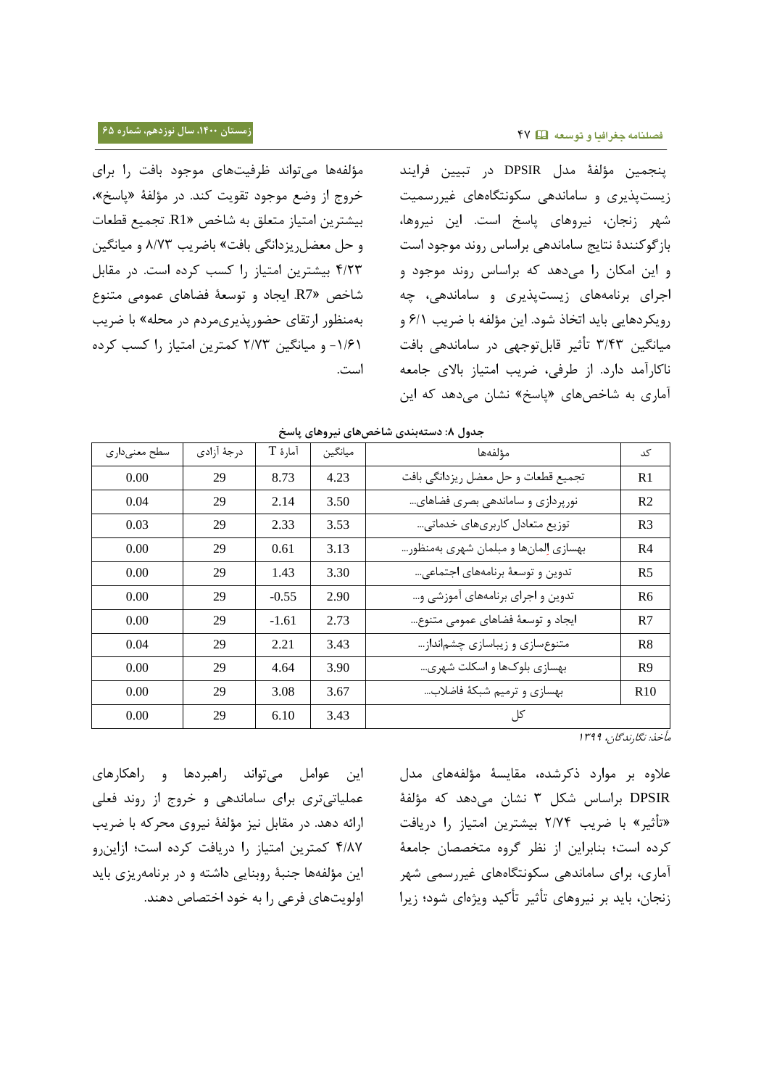مؤلفهها میتواند ظرفیتهای موجود بافت را برای خروج از وضع موجود تقویت کند. در مؤلفۀ »پاسخ«، بیشترین امتیاز متعلق به شاخص »1R. تجمیع قطعات و حل معضلریزدانگی بافت« باضریب 2/20 و میانگین 2/70 بیشترین امتیاز را کسب کرده است. در مقابل شاخص »7R. ایجاد و توسعۀ فضاهای عمومی متنوع بهمنظور ارتقای حضورپذیریمردم در محله« با ضریب -3/63 و میانگین 7/20 کمترین امتیاز را کسب کرده است.

پنجمین مؤلفۀ مدل DPSIR در تبیین فرایند زیستپذیری و ساماندهی سکونتگاههای غیررسمیت شهر زنجان، نیروهای پاسخ است. این نیروها، بازگوکنندۀ نتایج ساماندهی براساس روند موجود است و این امکان را میدهد که براساس روند موجود و اجرای برنامههای زیستپذیری و ساماندهی، چه رویکردهایی باید اتخاذ شود. این مؤلفه با ضریب 6/3 و میانگین 0/20 تأثیر قابلتوجهی در ساماندهی بافت ناکارآمد دارد. از طرفی، ضریب امتیاز باالی جامعه آماری به شاخصهای »پاسخ« نشان میدهد که این

| کد              | مؤلفهها                              | ميانگين | آمارهٔ T | درجهٔ آزادی | سطح معنىداري |
|-----------------|--------------------------------------|---------|----------|-------------|--------------|
| R1              | تجميع قطعات وحل معضل ريزدانگي بافت   | 4.23    | 8.73     | 29          | 0.00         |
| R <sub>2</sub>  | نورپردازی و ساماندهی بصری فضاهای     | 3.50    | 2.14     | 29          | 0.04         |
| R <sub>3</sub>  | توزیع متعادل کاربریهای خدماتی…       | 3.53    | 2.33     | 29          | 0.03         |
| R <sub>4</sub>  | بهسازي إلمانها و مبلمان شهري بهمنظور | 3.13    | 0.61     | 29          | 0.00         |
| R <sub>5</sub>  | تدوين وتوسعهٔ برنامههای اجتماعی      | 3.30    | 1.43     | 29          | 0.00         |
| R <sub>6</sub>  | تدوین و اجرای برنامههای آموزشی و…    | 2.90    | $-0.55$  | 29          | 0.00         |
| R7              | ايجاد و توسعهٔ فضاهای عمومی متنوع    | 2.73    | $-1.61$  | 29          | 0.00         |
| R8              | متنوعسازی و زیباسازی چشمانداز        | 3.43    | 2.21     | 29          | 0.04         |
| R9              | بهسازی بلوکها و اسکلت شهری           | 3.90    | 4.64     | 29          | 0.00         |
| R <sub>10</sub> | بهسازي وترميم شبكة فاضلاب            | 3.67    | 3.08     | 29          | 0.00         |
|                 | کل                                   | 3.43    | 6.10     | 29          | 0.00         |
|                 |                                      |         |          |             |              |

| جدول ۸: دستهبندی شاخصهای نیروهای پاسخ |  |
|---------------------------------------|--|
|---------------------------------------|--|

مأخذ: نگارندگان، <sup>3022</sup>

عالوه بر موارد ذکرشده، مقایسۀ مؤلفههای مدل DPSIR براساس شکل 0 نشان میدهد که مؤلفۀ »تأثیر« با ضریب 7/22 بیشترین امتیاز را دریافت کرده است؛ بنابراین از نظر گروه متخصصان جامعۀ آماری، برای ساماندهی سکونتگاههای غیررسمی شهر زنجان، باید بر نیروهای تأثیر تأکید ویژهای شود؛ زیرا

این عوامل میتواند راهبردها و راهکارهای عملیاتیتری برای ساماندهی و خروج از روند فعلی ارائه دهد. در مقابل نیز مؤلفۀ نیروی محرکه با ضریب 2/22 کمترین امتیاز را دریافت کرده است؛ ازاینرو این مؤلفهها جنبۀ روبنایی داشته و در برنامهریزی باید اولویتهای فرعی را به خود اختصاص دهند.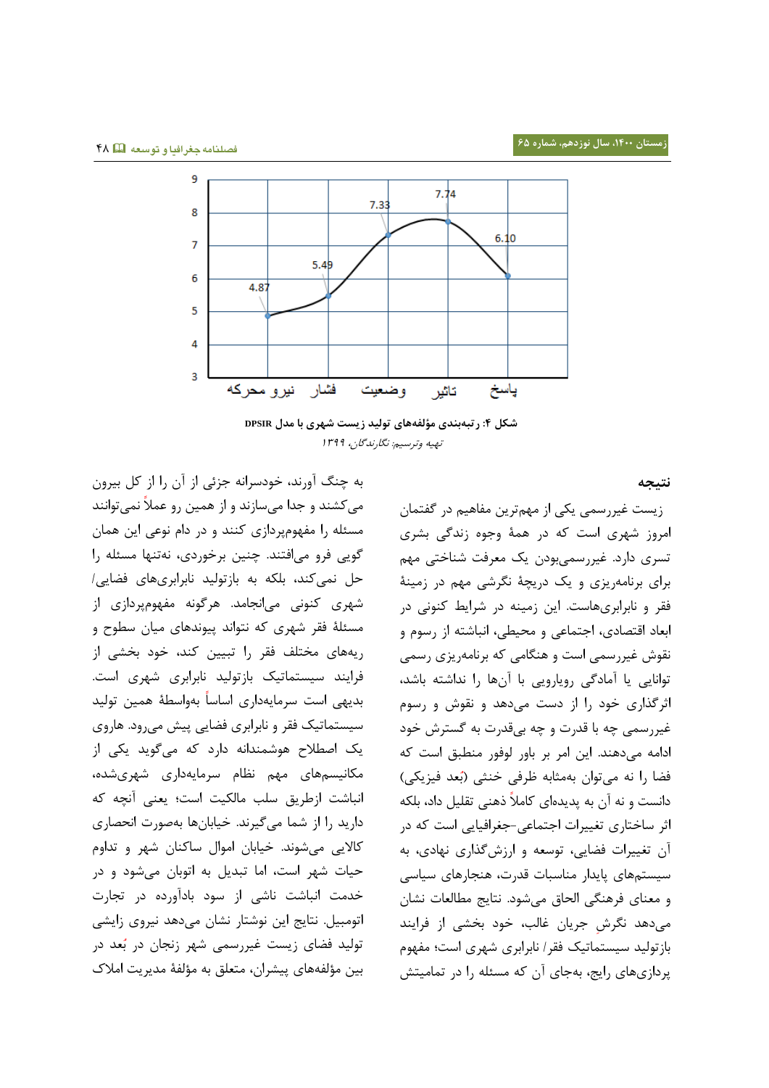

**شکل :0 رتبهبندی مؤلفههای تولید زیست شهری با مدل DPSIR** تهیه وترسیم: نگارندگان، <sup>3022</sup>

**نتیجه** 

به چنگ آورند، خودسرانه جزئی از آن را از کل بیرون میکشند و جدا میسازند و از همین رو عمال نمیتوانند مسئله را مفهومپردازی کنند و در دام نوعی این همان گویی فرو میافتند. چنین برخوردی، نهتنها مسئله را حل نمیکند، بلکه به بازتولید نابرابریهای فضایی/ شهری کنونی میانجامد. هرگونه مفهومپردازی از مسئلۀ فقر شهری که نتواند پیوندهای میان سطوح و ریههای مختلف فقر را تبیین کند، خود بخشی از فرایند سیستماتیک بازتولید نابرابری شهری است. بدیهی است سرمایهداری اساسا بهواسطۀ همین تولید سیستماتیک فقر و نابرابری فضایی پیش میرود. هاروی یک اصطالح هوشمندانه دارد که میگوید یکی از مکانیسمهای مهم نظام سرمایهداری شهریشده، انباشت ازطریق سلب مالکیت است؛ یعنی آنچه که دارید را از شما میگیرند. خیابانها بهصورت انحصاری کاالیی میشوند. خیابان اموال ساکنان شهر و تداوم حیات شهر است، اما تبدیل به اتوبان میشود و در خدمت انباشت ناشی از سود بادآورده در تجارت اتومبیل. نتایج این نوشتار نشان میدهد نیروی زایشی تولید فضای زیست غیررسمی شهر زنجان در ب عد در بین مؤلفههای پیشران، متعلق به مؤلفۀ مدیریت امالک

 زیست غیررسمی یکی از مهمترین مفاهیم در گفتمان امروز شهری است که در همۀ وجوه زندگی بشری تسری دارد. غیررسمیبودن یک معرفت شناختی مهم برای برنامهریزی و یک دریچۀ نگرشی مهم در زمینۀ فقر و نابرابریهاست. این زمینه در شرایط کنونی در ابعاد اقتصادی، اجتماعی و محیطی، انباشته از رسوم و نقوش غیررسمی است و هنگامی که برنامهریزی رسمی توانایی یا آمادگی رویارویی با آنها را نداشته باشد، اثرگذاری خود را از دست میدهد و نقوش و رسوم غیررسمی چه با قدرت و چه بیقدرت به گسترش خود ادامه میدهند. این امر بر باور لوفور منطبق است که فضا را نه میتوان بهمثابه ظرفی خنثی (بُعد فیزیکی) دانست و نه آن به پدیدهای کامال ذهنی تقلیل داد، بلکه اثر ساختاری تغییرات اجتماعی-جغرافیایی است که در آن تغییرات فضایی، توسعه و ارزشگذاری نهادی، به سیستمهای پایدار مناسبات قدرت، هنجارهای سیاسی و معنای فرهنگی الحاق میشود. نتایج مطالعات نشان میدهد نگرش جریان غالب، خود بخشی از فرایند بازتولید سیستماتیک فقر/ نابرابری شهری است؛ مفهوم پردازیهای رایج، بهجای آن که مسئله را در تمامیتش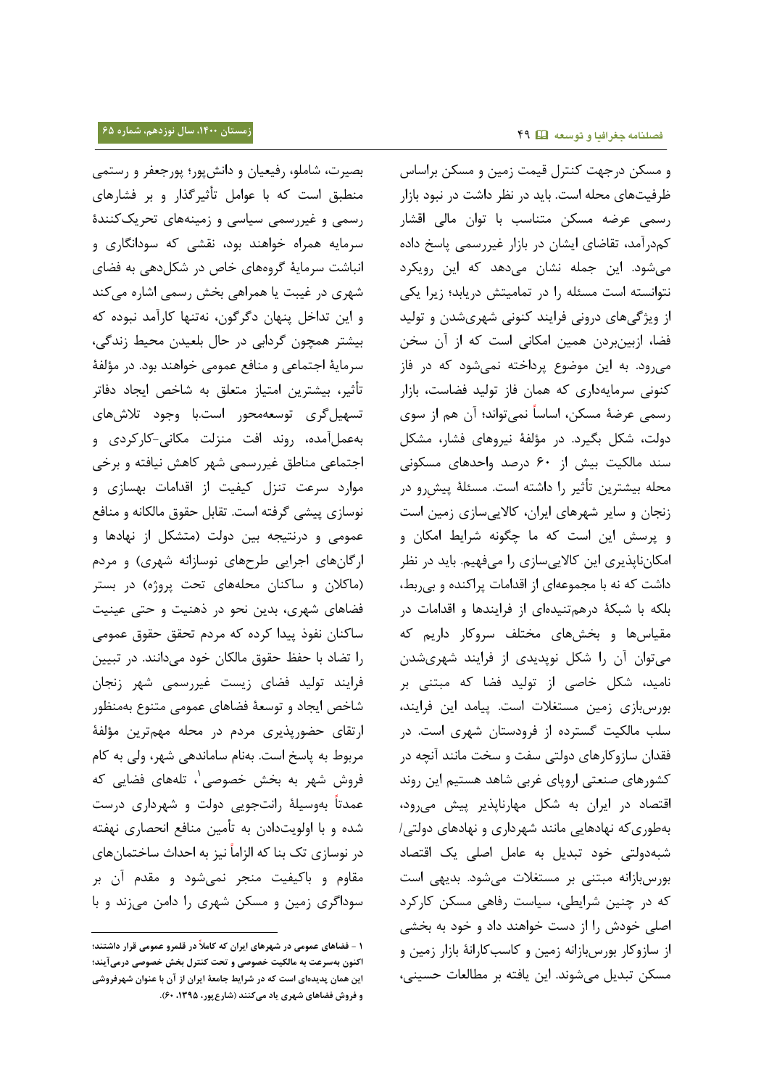و مسکن درجهت کنترل قیمت زمین و مسکن براساس ظرفیتهای محله است. باید در نظر داشت در نبود بازار بصیرت، شاملو، رفیعیان و دانشپور؛ پورجعفر و رستمی منطبق است که با عوامل تأثیرگذار و بر فشارهای رسمی و غیررسمی سیاسی و زمینههای تحریککنندۀ سرمایه همراه خواهند بود، نقشی که سودانگاری و انباشت سرمایۀ گروههای خاص در شکلدهی به فضای شهری در غیبت یا همراهی بخش رسمی اشاره میکند

و این تداخل پنهان دگرگون، نهتنها کارآمد نبوده که بیشتر همچون گردابی در حال بلعیدن محیط زندگی، سرمایۀ اجتماعی و منافع عمومی خواهند بود. در مؤلفۀ تأثیر، بیشترین امتیاز متعلق به شاخص ایجاد دفاتر تسهیلگری توسعهمحور است.با وجود تالشهای بهعملآمده، روند افت منزلت مکانی-کارکردی و اجتماعی مناطق غیررسمی شهر کاهش نیافته و برخی موارد سرعت تنزل کیفیت از اقدامات بهسازی و نوسازی پیشی گرفته است. تقابل حقوق مالکانه و منافع عمومی و درنتیجه بین دولت )متشکل از نهادها و ارگانهای اجرایی طرحهای نوسازانه شهری) و مردم )ماکالن و ساکنان محلههای تحت پروژه( در بستر فضاهای شهری، بدین نحو در ذهنیت و حتی عینیت ساکنان نفوذ پیدا کرده که مردم تحقق حقوق عمومی را تضاد با حفظ حقوق مالکان خود میدانند. در تبیین فرایند تولید فضای زیست غیررسمی شهر زنجان شاخص ایجاد و توسعۀ فضاهای عمومی متنوع بهمنظور ارتقای حضورپذیری مردم در محله مهمترین مؤلفۀ مربوط به پاسخ است. بهنام ساماندهی شهر، ولی به کام فروش شهر به بخش خصوصی`، تلههای فضایی که عمدتا بهوسیلۀ رانتجویی دولت و شهرداری درست شده و با اولویتدادن به تأمین منافع انحصاری نهفته در نوسازی تک بنا که الزاما نیز به احداث ساختمانهای مقاوم و باکیفیت منجر نمیشود و مقدم آن بر سوداگری زمین و مسکن شهری را دامن میزند و با

l

رسمی عرضه مسکن متناسب با توان مالی اقشار کمدرآمد، تقاضای ایشان در بازار غیررسمی پاسخ داده میشود. این جمله نشان میدهد که این رویکرد نتوانسته است مسئله را در تمامیتش دریابد؛ زیرا یکی از ویژگیهای درونی فرایند کنونی شهریشدن و تولید فضا، ازبینبردن همین امکانی است که از آن سخن میرود. به این موضوع پرداخته نمیشود که در فاز کنونی سرمایهداری که همان فاز تولید فضاست، بازار رسمی عرضۀ مسکن، اساسا نمیتواند؛ آن هم از سوی دولت، شکل بگیرد. در مؤلفۀ نیروهای فشار، مشکل سند مالکیت بیش از 65 درصد واحدهای مسکونی محله بیشترین تاثیر را داشته است. مسئلهٔ پیشِرو در زنجان و سایر شهرهای ایران، کاالییسازی زمین است و پرسش این است که ما چگونه شرایط امکان و امکانناپذیری این کاالییسازی را میفهیم. باید در نظر داشت که نه با مجموعهای از اقدامات پراکنده و بیربط، بلکه با شبکۀ درهمتنیدهای از فرایندها و اقدامات در مقیاسها و بخشهای مختلف سروکار داریم که میتوان آن را شکل نوپدیدی از فرایند شهریشدن نامید، شکل خاصی از تولید فضا که مبتنی بر بورسبازی زمین مستغالت است. پیامد این فرایند، سلب مالکیت گسترده از فرودستان شهری است. در فقدان سازوکارهای دولتی سفت و سخت مانند آنچه در کشورهای صنعتی اروپای غربی شاهد هستیم این روند اقتصاد در ایران به شکل مهارناپذیر پیش میرود، بهطوریکه نهادهایی مانند شهرداری و نهادهای دولتی/ شبهدولتی خود تبدیل به عامل اصلی یک اقتصاد بورسبازانه مبتنی بر مستغالت میشود. بدیهی است که در چنین شرایطی، سیاست رفاهی مسکن کارکرد اصلی خودش را از دست خواهند داد و خود به بخشی از سازوکار بورسبازانه زمین و کاسبکارانۀ بازار زمین و مسکن تبدیل میشوند. این یافته بر مطالعات حسینی،

**<sup>0</sup> - فضاهای عمومی در شهرهای ایران که کامال در قلمرو عمومی قرار داشتند؛ اکنون بهسرعت به مالکیت خصوصی و تحت کنترل بخش خصوصی درمیآیند؛ این همان پدیدهای است که در شرایط جامعۀ ایران از آن با عنوان شهرفروشی و فروش فضاهای شهری یاد میکنند )شارعپور، ،0335 61(.**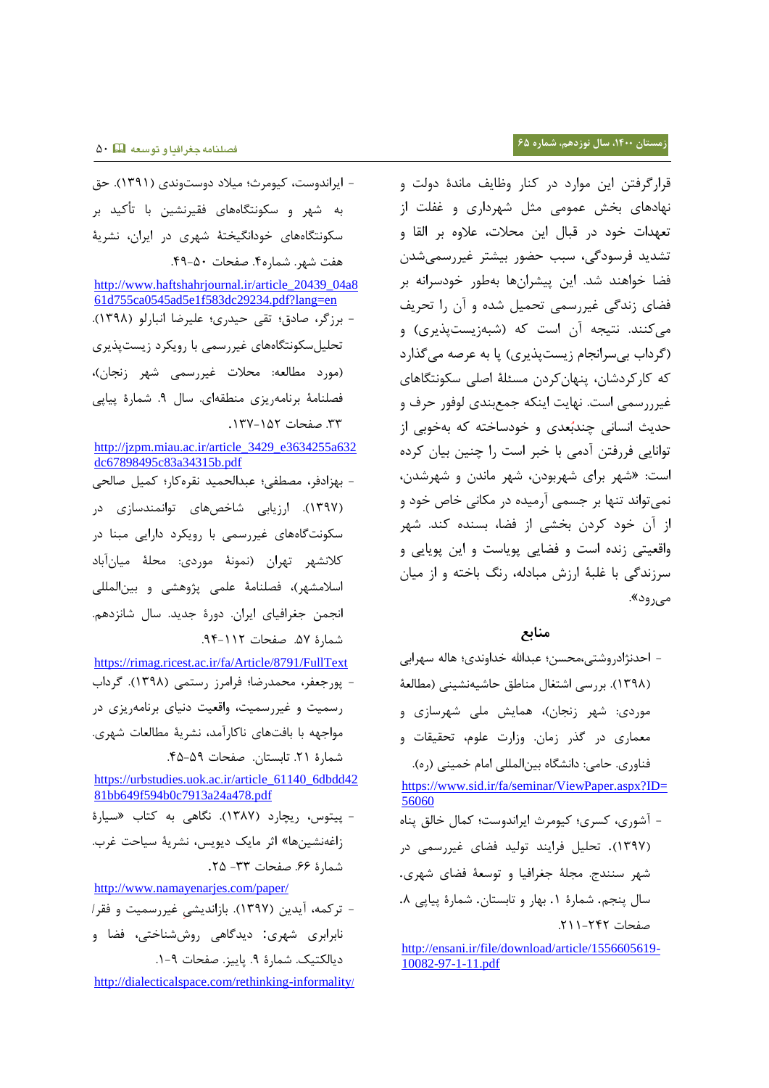- ایراندوست، کیومرث؛ میالد دوستوندی )3023(. حق به شهر و سکونتگاههای فقیرنشین با تأکید بر سکونتگاههای خودانگیختۀ شهری در ایران، نشریۀ هفت شهر. شماره.2 صفحات .22-05

[http://www.haftshahrjournal.ir/article\\_20439\\_04a8](http://www.haftshahrjournal.ir/article_20439_04a861d755ca0545ad5e1f583dc29234.pdf?lang=en) [61d755ca0545ad5e1f583dc29234.pdf?lang=en](http://www.haftshahrjournal.ir/article_20439_04a861d755ca0545ad5e1f583dc29234.pdf?lang=en) - برزگر، صادق؛ تقی حیدری؛ علیرضا انبارلو )3022(. تحلیلسکونتگاههای غیررسمی با رویکرد زیستپذیری (مورد مطالعه: محلات غیررسمی شهر زنجان)، فصلنامۀ برنامهریزی منطقهای. سال .2 شمارۀ پیاپی .00 صفحات .302-307

[http://jzpm.miau.ac.ir/article\\_3429\\_e3634255a632](http://jzpm.miau.ac.ir/article_3429_e3634255a632dc67898495c83a34315b.pdf) [dc67898495c83a34315b.pdf](http://jzpm.miau.ac.ir/article_3429_e3634255a632dc67898495c83a34315b.pdf)

- بهزادفر، مصطفی؛ عبدالحمید نقرهکار؛ کمیل صالحی )3022(. ارزیابی شاخصهای توانمندسازی در سکونتگاههای غیررسمی با رویکرد دارایی مبنا در کالنشهر تهران )نمونۀ موردی: محلۀ میانآباد اسالمشهر(، فصلنامۀ علمی پژوهشی و بینالمللی انجمن جغرافیای ایران. دورۀ جدید. سال شانزدهم. شمارۀ ۵۷. صفحات ۱۱۲-۹۴.

<https://rimag.ricest.ac.ir/fa/Article/8791/FullText> - پورجعفر، محمدرضا؛ فرامرز رستمی )3022(. گرداب رسمیت و غیررسمیت، واقعیت دنیای برنامهریزی در مواجهه با بافتهای ناکارآمد، نشریۀ مطالعات شهری. شمارۀ .73 تابستان. صفحات .20-02

[https://urbstudies.uok.ac.ir/article\\_61140\\_6dbdd42](https://urbstudies.uok.ac.ir/article_61140_6dbdd4281bb649f594b0c7913a24a478.pdf) [81bb649f594b0c7913a24a478.pdf](https://urbstudies.uok.ac.ir/article_61140_6dbdd4281bb649f594b0c7913a24a478.pdf) - پیتوس، ریچارد )3022(. نگاهی به کتاب »سیارۀ زاغهنشینها« اثر مایک دیویس، نشریۀ سیاحت غر[ب.](https://www.noormags.ir/view/fa/magazine/number/18763) شمارۂ ۶۶. صفحات ۳۳– ۲۵.

<http://www.namayenarjes.com/paper/> - ترکمه، آیدین )3022(. بازاندیشی غیررسمیت و فقر/ نابرابری شهری: دیدگاهی روششناختی، فضا و دیالکتیک. شمارۀ ۹. پاییز. صفحات ۹-۱.

[http://dialecticalspace.com/rethinking-informality](http://dialecticalspace.com/rethinking-informality/)/

قرارگرفتن این موارد در کنار وظایف ماندۀ دولت و نهادهای بخش عمومی مثل شهرداری و غفلت از تعهدات خود در قبال این محالت، عالوه بر القا و تشدید فرسودگی، سبب حضور بیشتر غیررسمیشدن فضا خواهند شد. این پیشرانها بهطور خودسرانه بر فضای زندگی غیررسمی تحمیل شده و آن را تحریف می کنند. نتیجه آن است که (شبهزیستپذیری) و )گرداب بیسرانجام زیستپذیری( پا به عرصه میگذارد که کارکردشان، پنهانکردن مسئلۀ اصلی سکونتگاهای غیرررسمی است. نهایت اینکه جمعبندی لوفور حرف و حدیث انسانی چندبُعدی و خودساخته که بهخوبی از توانایی فررفتن آدمی با خبر است را چنین بیان کرده است: »شهر برای شهربودن، شهر ماندن و شهرشدن، نمیتواند تنها بر جسمی آرمیده در مکانی خاص خود و از آن خود کردن بخشی از فضا، بسنده کند. شهر واقعیتی زنده است و فضایی پویاست و این پویایی و سرزندگی با غلبۀ ارزش مبادله، رنگ باخته و از میان م<sub>ی(</sub>ود».

## **منابع**

- احدنژادروشتی،محسن؛ عبداهلل خداوندی؛ هاله سهرابی )3022(. بررسی اشتغال مناطق حاشیهنشینی )مطالعۀ موردی: شهر زنجان)، همایش ملی شهرسازی و معماری در گذر زمان. وزارت علوم، تحقیقات و فناوری. حامی: دانشگاه بینالمللی امام خمینی )ره(.

[https://www.sid.ir/fa/seminar/ViewPaper.aspx?ID=](https://www.sid.ir/fa/seminar/ViewPaper.aspx?ID=56060) [56060](https://www.sid.ir/fa/seminar/ViewPaper.aspx?ID=56060)

- آشوری، کسری؛ کیومرث ایراندوست؛ کمال خالق پناه )3022(. تحلیل فرایند تولید فضای غیررسمی در شهر سنندج. مجلۀ جغرافیا و توسعۀ فضای شهری. سال پنجم. شمارۀ ١. بهار و تابستان. شمارۀ پیاپی ٨. صفحات ٢٢٢-٢١١.

[http://ensani.ir/file/download/article/1556605619-](http://ensani.ir/file/download/article/1556605619-10082-97-1-11.pdf) [10082-97-1-11.pdf](http://ensani.ir/file/download/article/1556605619-10082-97-1-11.pdf)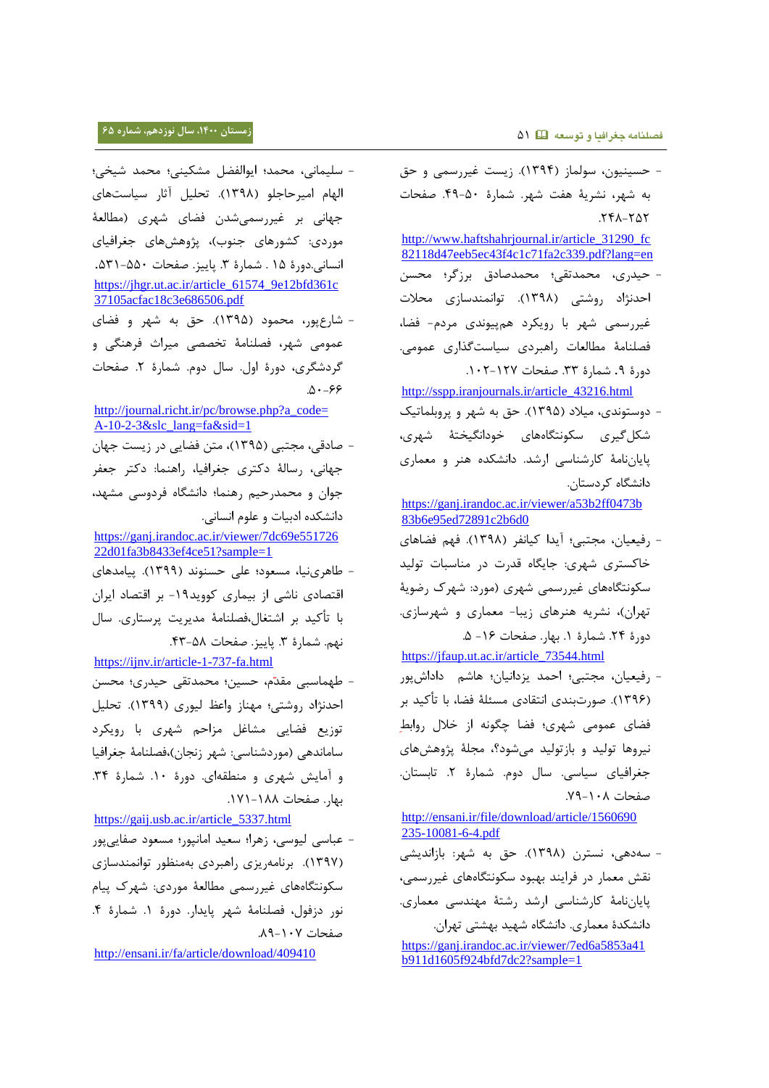- حسینیون، سولماز )3022(. زیست غیررسمی و حق به شهر، نشریۀ هفت شهر. شمارۀ .22-05 صفحات .722-707 [http://www.haftshahrjournal.ir/article\\_31290\\_fc](http://www.haftshahrjournal.ir/article_31290_fc82118d47eeb5ec43f4c1c71fa2c339.pdf?lang=en) [82118d47eeb5ec43f4c1c71fa2c339.pdf?lang=en](http://www.haftshahrjournal.ir/article_31290_fc82118d47eeb5ec43f4c1c71fa2c339.pdf?lang=en) - حیدری، محمدتقی؛ محمدصادق برزگر؛ محسن احدنژاد روشتی )3022(. توانمندسازی محالت غیررسمی شهر با رویکرد همپیوندی مردم- فضا، فصلنامۀ مطالعات راهبردی سیاستگذاری عمومی. دورۀ ٩. شمارۀ ٣٣. صفحات ١٢٧-١٠٢. [http://sspp.iranjournals.ir/article\\_43216.html](http://sspp.iranjournals.ir/article_43216.html) - دوستوندی، میالد )3020(. حق به شهر و پروبلماتیک
	- شکلگیری سکونتگاههای خودانگیختۀ شهری، پایاننامۀ کارشناسی ارشد. دانشکده هنر و معماری دانشگاه کردستان.

[https://ganj.irandoc.ac.ir/viewer/a53b2ff0473b](https://ganj.irandoc.ac.ir/viewer/a53b2ff0473b83b6e95ed72891c2b6d0) [83b6e95ed72891c2b6d0](https://ganj.irandoc.ac.ir/viewer/a53b2ff0473b83b6e95ed72891c2b6d0)

- رفیعیان، مجتبی؛ آیدا کیانفر )3022(. فهم فضاهای خاکستری شهری: جایگاه قدرت در مناسبات تولید سکونتگاههای غیررسمی شهری )مورد: شهرک رضویۀ تهران)، نشریه هنرهای زیبا- معماری و شهرسازی. دورۀ ٢۴. شمارۀ ١. بهار. صفحات ١۶- ۵.

[https://jfaup.ut.ac.ir/article\\_73544.html](https://jfaup.ut.ac.ir/article_73544.html)

- رفیعیان، مجتبی؛ احمد یزدانیان؛ هاشم داداشپور )3026(. صورتبندی انتقادی مسئلۀ فضا، با تأکید بر فضای عمومی شهری؛ فضا چگونه از خالل روابط نیروها تولید و بازتولید میشود؟، مجلۀ پژوهشهای جغرافیای سیاسی. سال دوم. شمارۀ .7 تابستان. صفحات ٠٨-٧٩.

[http://ensani.ir/file/download/article/1560690](http://ensani.ir/file/download/article/1560690235-10081-6-4.pdf) [235-10081-6-4.pdf](http://ensani.ir/file/download/article/1560690235-10081-6-4.pdf)

- سهدهی، نسترن )3022(. حق به شهر: بازاندیشی نقش معمار در فرایند بهبود سکونتگاههای غیررسمی، پایاننامۀ کارشناسی ارشد رشتۀ مهندسی معماری. دانشکدۀ معماری. دانشگاه شهید بهشتی تهران. [https://ganj.irandoc.ac.ir/viewer/7ed6a5853a41](https://ganj.irandoc.ac.ir/viewer/7ed6a5853a41b911d1605f924bfd7dc2?sample=1)

[b911d1605f924bfd7dc2?sample=1](https://ganj.irandoc.ac.ir/viewer/7ed6a5853a41b911d1605f924bfd7dc2?sample=1)

- سلیمانی، محمد؛ ایوالفضل مشکینی؛ محمد شیخی؛ الهام امیرحاجلو )3022(. تحلیل آثار سیاستهای جهانی بر غیررسمیشدن فضای شهری )مطالعۀ موردی: کشورهای جنوب)، پژوهشهای جغرافیای انسانی.دورۀ ۱۵ . شمارۀ ۳. پاییز. صفحات ۵۵۰-۵۳۱. [https://jhgr.ut.ac.ir/article\\_61574\\_9e12bfd361c](https://jhgr.ut.ac.ir/article_61574_9e12bfd361c37105acfac18c3e686506.pdf) [37105acfac18c3e686506.pdf](https://jhgr.ut.ac.ir/article_61574_9e12bfd361c37105acfac18c3e686506.pdf)

- شارعپور، محمود )3020(. حق به شهر و فضای عمومی شهر، فصلنامۀ تخصصی میراث فرهنگی و گردشگری، دورۀ اول. سال دوم. شمارۀ .7 صفحات  $.0 - 99$ 

[http://journal.richt.ir/pc/browse.php?a\\_code=](http://journal.richt.ir/pc/browse.php?a_code=A-10-2-3&slc_lang=fa&sid=1) [A-10-2-3&slc\\_lang=fa&sid=1](http://journal.richt.ir/pc/browse.php?a_code=A-10-2-3&slc_lang=fa&sid=1)

- صادقی، مجتبی )3020(، متن فضایی در زیست جهان جهانی، رسالۀ دکتری جغرافیا، راهنما: دکتر جعفر جوان و محمدرحیم رهنما؛ دانشگاه فردوسی مشهد، دانشکده ادبیات و علوم انسانی.

[https://ganj.irandoc.ac.ir/viewer/7dc69e551726](https://ganj.irandoc.ac.ir/viewer/7dc69e55172622d01fa3b8433ef4ce51?sample=1) [22d01fa3b8433ef4ce51?sample=1](https://ganj.irandoc.ac.ir/viewer/7dc69e55172622d01fa3b8433ef4ce51?sample=1)

- طاهرینیا، مسعود؛ علی حسنوند )3022(. پیامدهای اقتصادی ناشی از بیماری کووید-32 بر اقتصاد ایران با تأکید بر اشتغال،فصلنامۀ مدیریت پرستاری. سال نهم. شمارۀ ٣. پاییز. صفحات ۵۸-۴۳. <https://ijnv.ir/article-1-737-fa.html>

- طهماسبی مقد م، حسین؛ محمدتقی حیدری؛ محسن احدنژاد روشتی؛ مهناز واعظ لیوری )3022(. تحلیل توزیع فضایی مشاغل مزاحم شهری با رویکرد ساماندهی )موردشناسی: شهر زنجان(،فصلنامۀ جغرافیا و آمایش شهری و منطقهای. دورۀ .35 شمارۀ .02 بهار. صفحات .323-322

[https://gaij.usb.ac.ir/article\\_5337.html](https://gaij.usb.ac.ir/article_5337.html) - عباسی لیوسی، زهرا؛ سعید امانپور؛ مسعود صفاییپور )3022(. برنامهریزی راهبردی بهمنظور توانمندسازی سکونتگاههای غیررسمی مطالعۀ موردی: شهرک پیام نور دزفول، فصلنامۀ شهر پایدار. دورۀ ١. شمارۀ ۴. صفحات ٠٧-٨٩.

<http://ensani.ir/fa/article/download/409410>